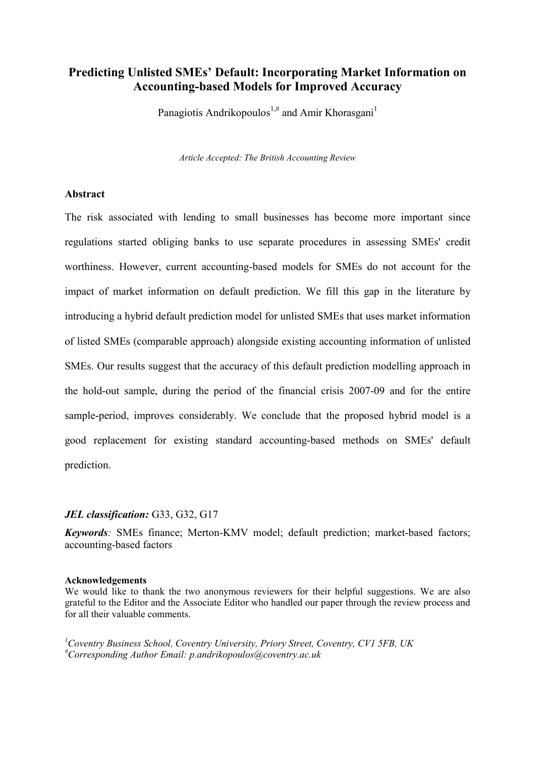# **Predicting Unlisted SMEs' Default: Incorporating Market Information on Accounting-based Models for Improved Accuracy**

Panagiotis Andrikopoulos<sup>1,#</sup> and Amir Khorasgani<sup>1</sup>

*Article Accepted: The British Accounting Review*

## **Abstract**

The risk associated with lending to small businesses has become more important since regulations started obliging banks to use separate procedures in assessing SMEs' credit worthiness. However, current accounting-based models for SMEs do not account for the impact of market information on default prediction. We fill this gap in the literature by introducing a hybrid default prediction model for unlisted SMEs that uses market information of listed SMEs (comparable approach) alongside existing accounting information of unlisted SMEs. Our results suggest that the accuracy of this default prediction modelling approach in the hold-out sample, during the period of the financial crisis 2007-09 and for the entire sample-period, improves considerably. We conclude that the proposed hybrid model is a good replacement for existing standard accounting-based methods on SMEs' default prediction.

### *JEL classification:* G33, G32, G17

*Keywords:* SMEs finance; Merton-KMV model; default prediction; market-based factors; accounting-based factors

#### **Acknowledgements**

We would like to thank the two anonymous reviewers for their helpful suggestions. We are also grateful to the Editor and the Associate Editor who handled our paper through the review process and for all their valuable comments.

*<sup>1</sup>Coventry Business School, Coventry University, Priory Street, Coventry, CV1 5FB, UK #Corresponding Author Email: p.andrikopoulos@coventry.ac.uk*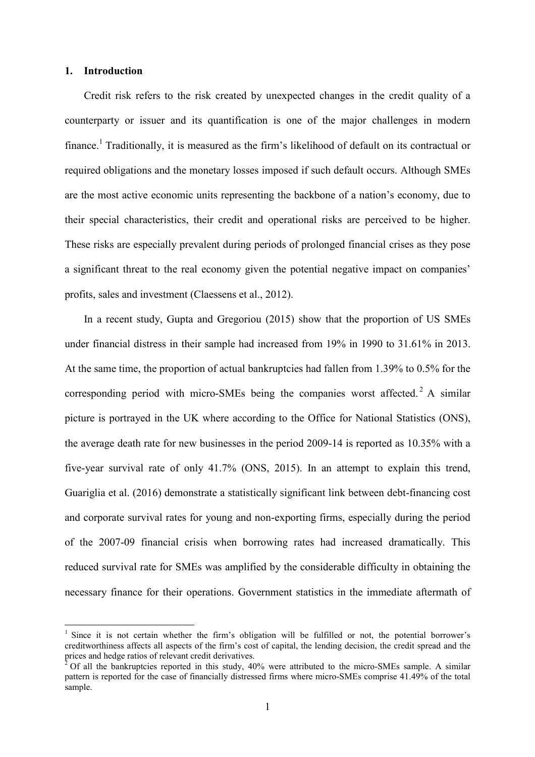### **1. Introduction**

Credit risk refers to the risk created by unexpected changes in the credit quality of a counterparty or issuer and its quantification is one of the major challenges in modern finance.<sup>1</sup> Traditionally, it is measured as the firm's likelihood of default on its contractual or required obligations and the monetary losses imposed if such default occurs. Although SMEs are the most active economic units representing the backbone of a nation's economy, due to their special characteristics, their credit and operational risks are perceived to be higher. These risks are especially prevalent during periods of prolonged financial crises as they pose a significant threat to the real economy given the potential negative impact on companies' profits, sales and investment (Claessens et al., 2012).

In a recent study, Gupta and Gregoriou (2015) show that the proportion of US SMEs under financial distress in their sample had increased from 19% in 1990 to 31.61% in 2013. At the same time, the proportion of actual bankruptcies had fallen from 1.39% to 0.5% for the corresponding period with micro-SMEs being the companies worst affected.<sup>2</sup> A similar picture is portrayed in the UK where according to the Office for National Statistics (ONS), the average death rate for new businesses in the period 2009-14 is reported as 10.35% with a five-year survival rate of only 41.7% (ONS, 2015). In an attempt to explain this trend, Guariglia et al. (2016) demonstrate a statistically significant link between debt-financing cost and corporate survival rates for young and non-exporting firms, especially during the period of the 2007-09 financial crisis when borrowing rates had increased dramatically. This reduced survival rate for SMEs was amplified by the considerable difficulty in obtaining the necessary finance for their operations. Government statistics in the immediate aftermath of

<sup>1</sup> Since it is not certain whether the firm's obligation will be fulfilled or not, the potential borrower's creditworthiness affects all aspects of the firm's cost of capital, the lending decision, the credit spread and the prices and hedge ratios of relevant credit derivatives.

<sup>2</sup> Of all the bankruptcies reported in this study, 40% were attributed to the micro-SMEs sample. A similar pattern is reported for the case of financially distressed firms where micro-SMEs comprise 41.49% of the total sample.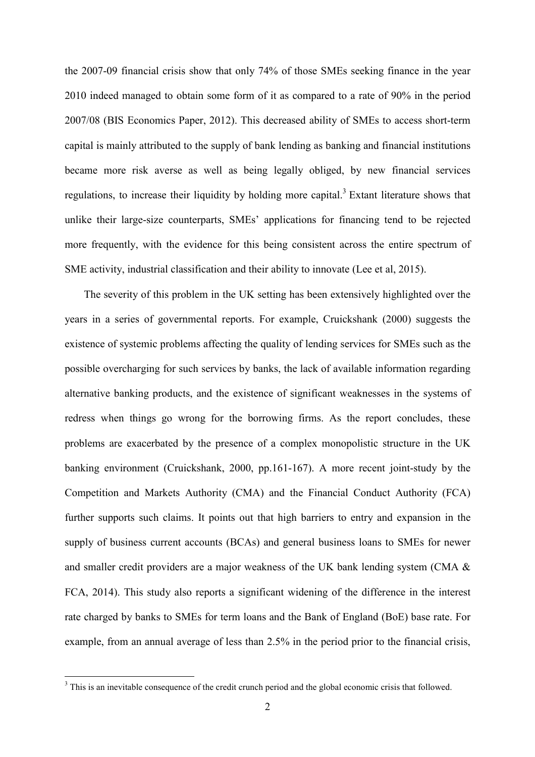the 2007-09 financial crisis show that only 74% of those SMEs seeking finance in the year 2010 indeed managed to obtain some form of it as compared to a rate of 90% in the period 2007/08 (BIS Economics Paper, 2012). This decreased ability of SMEs to access short-term capital is mainly attributed to the supply of bank lending as banking and financial institutions became more risk averse as well as being legally obliged, by new financial services regulations, to increase their liquidity by holding more capital.<sup>3</sup> Extant literature shows that unlike their large-size counterparts, SMEs' applications for financing tend to be rejected more frequently, with the evidence for this being consistent across the entire spectrum of SME activity, industrial classification and their ability to innovate (Lee et al, 2015).

The severity of this problem in the UK setting has been extensively highlighted over the years in a series of governmental reports. For example, Cruickshank (2000) suggests the existence of systemic problems affecting the quality of lending services for SMEs such as the possible overcharging for such services by banks, the lack of available information regarding alternative banking products, and the existence of significant weaknesses in the systems of redress when things go wrong for the borrowing firms. As the report concludes, these problems are exacerbated by the presence of a complex monopolistic structure in the UK banking environment (Cruickshank, 2000, pp.161-167). A more recent joint-study by the Competition and Markets Authority (CMA) and the Financial Conduct Authority (FCA) further supports such claims. It points out that high barriers to entry and expansion in the supply of business current accounts (BCAs) and general business loans to SMEs for newer and smaller credit providers are a major weakness of the UK bank lending system (CMA & FCA, 2014). This study also reports a significant widening of the difference in the interest rate charged by banks to SMEs for term loans and the Bank of England (BoE) base rate. For example, from an annual average of less than 2.5% in the period prior to the financial crisis,

<sup>&</sup>lt;sup>3</sup> This is an inevitable consequence of the credit crunch period and the global economic crisis that followed.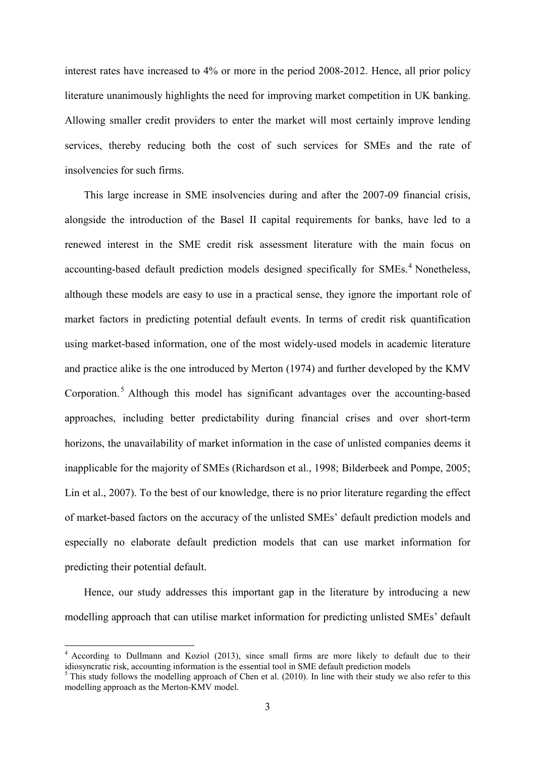interest rates have increased to 4% or more in the period 2008-2012. Hence, all prior policy literature unanimously highlights the need for improving market competition in UK banking. Allowing smaller credit providers to enter the market will most certainly improve lending services, thereby reducing both the cost of such services for SMEs and the rate of insolvencies for such firms.

This large increase in SME insolvencies during and after the 2007-09 financial crisis, alongside the introduction of the Basel II capital requirements for banks, have led to a renewed interest in the SME credit risk assessment literature with the main focus on accounting-based default prediction models designed specifically for  $SMEs<sup>4</sup>$  Nonetheless, although these models are easy to use in a practical sense, they ignore the important role of market factors in predicting potential default events. In terms of credit risk quantification using market-based information, one of the most widely-used models in academic literature and practice alike is the one introduced by Merton (1974) and further developed by the KMV Corporation.<sup>5</sup> Although this model has significant advantages over the accounting-based approaches, including better predictability during financial crises and over short-term horizons, the unavailability of market information in the case of unlisted companies deems it inapplicable for the majority of SMEs (Richardson et al., 1998; Bilderbeek and Pompe, 2005; Lin et al., 2007). To the best of our knowledge, there is no prior literature regarding the effect of market-based factors on the accuracy of the unlisted SMEs' default prediction models and especially no elaborate default prediction models that can use market information for predicting their potential default.

Hence, our study addresses this important gap in the literature by introducing a new modelling approach that can utilise market information for predicting unlisted SMEs' default

<sup>4</sup> According to Dullmann and Koziol (2013), since small firms are more likely to default due to their idiosyncratic risk, accounting information is the essential tool in SME default prediction models

 $<sup>5</sup>$  This study follows the modelling approach of Chen et al. (2010). In line with their study we also refer to this</sup> modelling approach as the Merton-KMV model.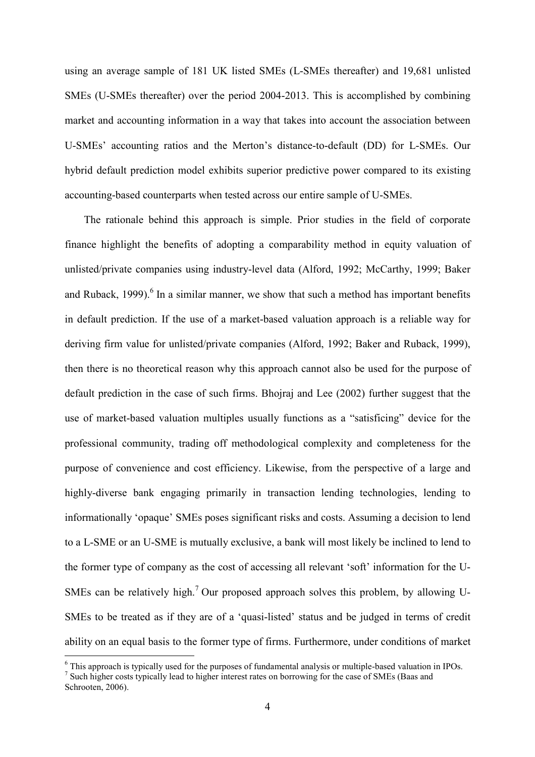using an average sample of 181 UK listed SMEs (L-SMEs thereafter) and 19,681 unlisted SMEs (U-SMEs thereafter) over the period 2004-2013. This is accomplished by combining market and accounting information in a way that takes into account the association between U-SMEs' accounting ratios and the Merton's distance-to-default (DD) for L-SMEs. Our hybrid default prediction model exhibits superior predictive power compared to its existing accounting-based counterparts when tested across our entire sample of U-SMEs.

The rationale behind this approach is simple. Prior studies in the field of corporate finance highlight the benefits of adopting a comparability method in equity valuation of unlisted/private companies using industry-level data (Alford, 1992; McCarthy, 1999; Baker and Ruback, 1999).<sup>6</sup> In a similar manner, we show that such a method has important benefits in default prediction. If the use of a market-based valuation approach is a reliable way for deriving firm value for unlisted/private companies (Alford, 1992; Baker and Ruback, 1999), then there is no theoretical reason why this approach cannot also be used for the purpose of default prediction in the case of such firms. Bhojraj and Lee (2002) further suggest that the use of market-based valuation multiples usually functions as a "satisficing" device for the professional community, trading off methodological complexity and completeness for the purpose of convenience and cost efficiency. Likewise, from the perspective of a large and highly-diverse bank engaging primarily in transaction lending technologies, lending to informationally 'opaque' SMEs poses significant risks and costs. Assuming a decision to lend to a L-SME or an U-SME is mutually exclusive, a bank will most likely be inclined to lend to the former type of company as the cost of accessing all relevant 'soft' information for the U-SMEs can be relatively high.<sup>7</sup> Our proposed approach solves this problem, by allowing U-SMEs to be treated as if they are of a 'quasi-listed' status and be judged in terms of credit ability on an equal basis to the former type of firms. Furthermore, under conditions of market

 $6$  This approach is typically used for the purposes of fundamental analysis or multiple-based valuation in IPOs.

<sup>7</sup> Such higher costs typically lead to higher interest rates on borrowing for the case of SMEs (Baas and Schrooten, 2006).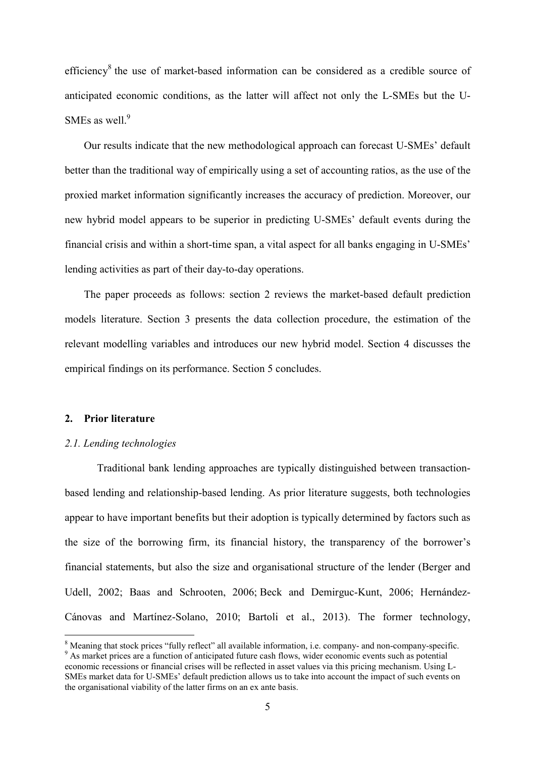efficiency<sup>8</sup> the use of market-based information can be considered as a credible source of anticipated economic conditions, as the latter will affect not only the L-SMEs but the U-SMEs as well.<sup>9</sup>

Our results indicate that the new methodological approach can forecast U-SMEs' default better than the traditional way of empirically using a set of accounting ratios, as the use of the proxied market information significantly increases the accuracy of prediction. Moreover, our new hybrid model appears to be superior in predicting U-SMEs' default events during the financial crisis and within a short-time span, a vital aspect for all banks engaging in U-SMEs' lending activities as part of their day-to-day operations.

The paper proceeds as follows: section 2 reviews the market-based default prediction models literature. Section 3 presents the data collection procedure, the estimation of the relevant modelling variables and introduces our new hybrid model. Section 4 discusses the empirical findings on its performance. Section 5 concludes.

## **2. Prior literature**

### *2.1. Lending technologies*

Traditional bank lending approaches are typically distinguished between transactionbased lending and relationship-based lending. As prior literature suggests, both technologies appear to have important benefits but their adoption is typically determined by factors such as the size of the borrowing firm, its financial history, the transparency of the borrower's financial statements, but also the size and organisational structure of the lender (Berger and Udell, 2002; Baas and Schrooten, 2006; Beck and Demirguc-Kunt, 2006; Hernández-Cánovas and Martínez-Solano, 2010; Bartoli et al., 2013). The former technology,

<sup>8</sup> Meaning that stock prices "fully reflect" all available information, i.e. company- and non-company-specific. <sup>9</sup> As market prices are a function of anticipated future cash flows, wider economic events such as potential economic recessions or financial crises will be reflected in asset values via this pricing mechanism. Using L-SMEs market data for U-SMEs' default prediction allows us to take into account the impact of such events on the organisational viability of the latter firms on an ex ante basis.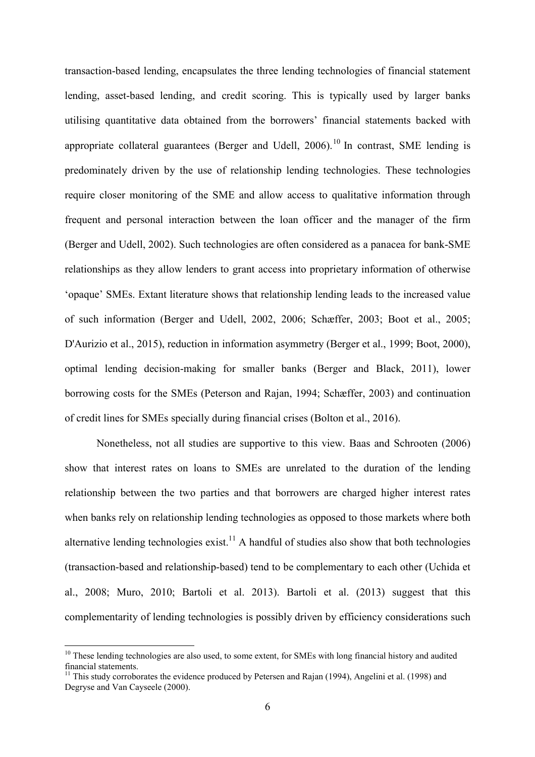transaction-based lending, encapsulates the three lending technologies of financial statement lending, asset-based lending, and credit scoring. This is typically used by larger banks utilising quantitative data obtained from the borrowers' financial statements backed with appropriate collateral guarantees (Berger and Udell,  $2006$ ).<sup>10</sup> In contrast, SME lending is predominately driven by the use of relationship lending technologies. These technologies require closer monitoring of the SME and allow access to qualitative information through frequent and personal interaction between the loan officer and the manager of the firm (Berger and Udell, 2002). Such technologies are often considered as a panacea for bank-SME relationships as they allow lenders to grant access into proprietary information of otherwise 'opaque' SMEs. Extant literature shows that relationship lending leads to the increased value of such information (Berger and Udell, 2002, 2006; Schæffer, 2003; Boot et al., 2005; D'Aurizio et al., 2015), reduction in information asymmetry (Berger et al., 1999; Boot, 2000), optimal lending decision-making for smaller banks (Berger and Black, 2011), lower borrowing costs for the SMEs (Peterson and Rajan, 1994; Schæffer, 2003) and continuation of credit lines for SMEs specially during financial crises (Bolton et al., 2016).

Nonetheless, not all studies are supportive to this view. Baas and Schrooten (2006) show that interest rates on loans to SMEs are unrelated to the duration of the lending relationship between the two parties and that borrowers are charged higher interest rates when banks rely on relationship lending technologies as opposed to those markets where both alternative lending technologies exist.<sup>11</sup> A handful of studies also show that both technologies (transaction-based and relationship-based) tend to be complementary to each other (Uchida et al., 2008; Muro, 2010; Bartoli et al. 2013). Bartoli et al. (2013) suggest that this complementarity of lending technologies is possibly driven by efficiency considerations such

<sup>&</sup>lt;sup>10</sup> These lending technologies are also used, to some extent, for SMEs with long financial history and audited financial statements.

<sup>&</sup>lt;sup>11</sup> This study corroborates the evidence produced by Petersen and Rajan (1994), Angelini et al. (1998) and Degryse and Van Cayseele (2000).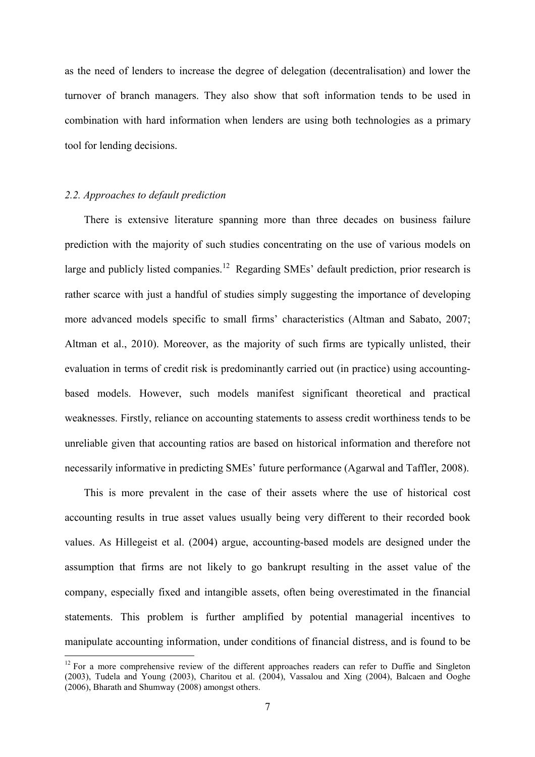as the need of lenders to increase the degree of delegation (decentralisation) and lower the turnover of branch managers. They also show that soft information tends to be used in combination with hard information when lenders are using both technologies as a primary tool for lending decisions.

## *2.2. Approaches to default prediction*

There is extensive literature spanning more than three decades on business failure prediction with the majority of such studies concentrating on the use of various models on large and publicly listed companies.<sup>12</sup> Regarding SMEs' default prediction, prior research is rather scarce with just a handful of studies simply suggesting the importance of developing more advanced models specific to small firms' characteristics (Altman and Sabato, 2007; Altman et al., 2010). Moreover, as the majority of such firms are typically unlisted, their evaluation in terms of credit risk is predominantly carried out (in practice) using accountingbased models. However, such models manifest significant theoretical and practical weaknesses. Firstly, reliance on accounting statements to assess credit worthiness tends to be unreliable given that accounting ratios are based on historical information and therefore not necessarily informative in predicting SMEs' future performance (Agarwal and Taffler, 2008).

This is more prevalent in the case of their assets where the use of historical cost accounting results in true asset values usually being very different to their recorded book values. As Hillegeist et al. (2004) argue, accounting-based models are designed under the assumption that firms are not likely to go bankrupt resulting in the asset value of the company, especially fixed and intangible assets, often being overestimated in the financial statements. This problem is further amplified by potential managerial incentives to manipulate accounting information, under conditions of financial distress, and is found to be

<sup>&</sup>lt;sup>12</sup> For a more comprehensive review of the different approaches readers can refer to Duffie and Singleton (2003), Tudela and Young (2003), Charitou et al. (2004), Vassalou and Xing (2004), Balcaen and Ooghe (2006), Bharath and Shumway (2008) amongst others.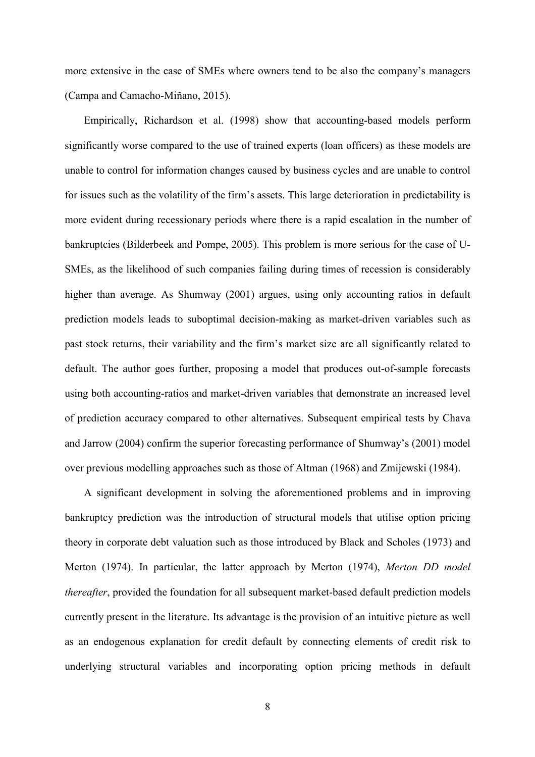more extensive in the case of SMEs where owners tend to be also the company's managers (Campa and Camacho-Miñano, 2015).

Empirically, Richardson et al. (1998) show that accounting-based models perform significantly worse compared to the use of trained experts (loan officers) as these models are unable to control for information changes caused by business cycles and are unable to control for issues such as the volatility of the firm's assets. This large deterioration in predictability is more evident during recessionary periods where there is a rapid escalation in the number of bankruptcies (Bilderbeek and Pompe, 2005). This problem is more serious for the case of U-SMEs, as the likelihood of such companies failing during times of recession is considerably higher than average. As Shumway (2001) argues, using only accounting ratios in default prediction models leads to suboptimal decision-making as market-driven variables such as past stock returns, their variability and the firm's market size are all significantly related to default. The author goes further, proposing a model that produces out-of-sample forecasts using both accounting-ratios and market-driven variables that demonstrate an increased level of prediction accuracy compared to other alternatives. Subsequent empirical tests by Chava and Jarrow (2004) confirm the superior forecasting performance of Shumway's (2001) model over previous modelling approaches such as those of Altman (1968) and Zmijewski (1984).

A significant development in solving the aforementioned problems and in improving bankruptcy prediction was the introduction of structural models that utilise option pricing theory in corporate debt valuation such as those introduced by Black and Scholes (1973) and Merton (1974). In particular, the latter approach by Merton (1974), *Merton DD model thereafter*, provided the foundation for all subsequent market-based default prediction models currently present in the literature. Its advantage is the provision of an intuitive picture as well as an endogenous explanation for credit default by connecting elements of credit risk to underlying structural variables and incorporating option pricing methods in default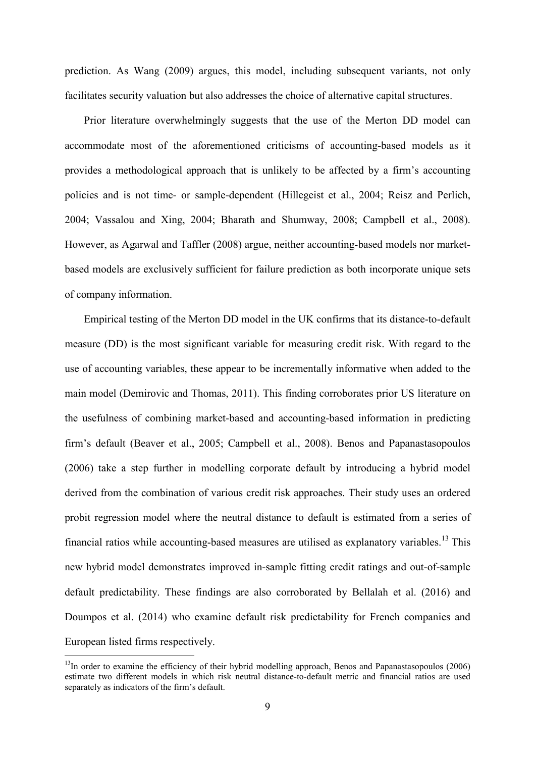prediction. As Wang (2009) argues, this model, including subsequent variants, not only facilitates security valuation but also addresses the choice of alternative capital structures.

Prior literature overwhelmingly suggests that the use of the Merton DD model can accommodate most of the aforementioned criticisms of accounting-based models as it provides a methodological approach that is unlikely to be affected by a firm's accounting policies and is not time- or sample-dependent (Hillegeist et al., 2004; Reisz and Perlich, 2004; Vassalou and Xing, 2004; Bharath and Shumway, 2008; Campbell et al., 2008). However, as Agarwal and Taffler (2008) argue, neither accounting-based models nor marketbased models are exclusively sufficient for failure prediction as both incorporate unique sets of company information.

Empirical testing of the Merton DD model in the UK confirms that its distance-to-default measure (DD) is the most significant variable for measuring credit risk. With regard to the use of accounting variables, these appear to be incrementally informative when added to the main model (Demirovic and Thomas, 2011). This finding corroborates prior US literature on the usefulness of combining market-based and accounting-based information in predicting firm's default (Beaver et al., 2005; Campbell et al., 2008). Benos and Papanastasopoulos (2006) take a step further in modelling corporate default by introducing a hybrid model derived from the combination of various credit risk approaches. Their study uses an ordered probit regression model where the neutral distance to default is estimated from a series of financial ratios while accounting-based measures are utilised as explanatory variables.<sup>13</sup> This new hybrid model demonstrates improved in-sample fitting credit ratings and out-of-sample default predictability. These findings are also corroborated by Bellalah et al. (2016) and Doumpos et al. (2014) who examine default risk predictability for French companies and European listed firms respectively.

 $13$ In order to examine the efficiency of their hybrid modelling approach, Benos and Papanastasopoulos (2006) estimate two different models in which risk neutral distance-to-default metric and financial ratios are used separately as indicators of the firm's default.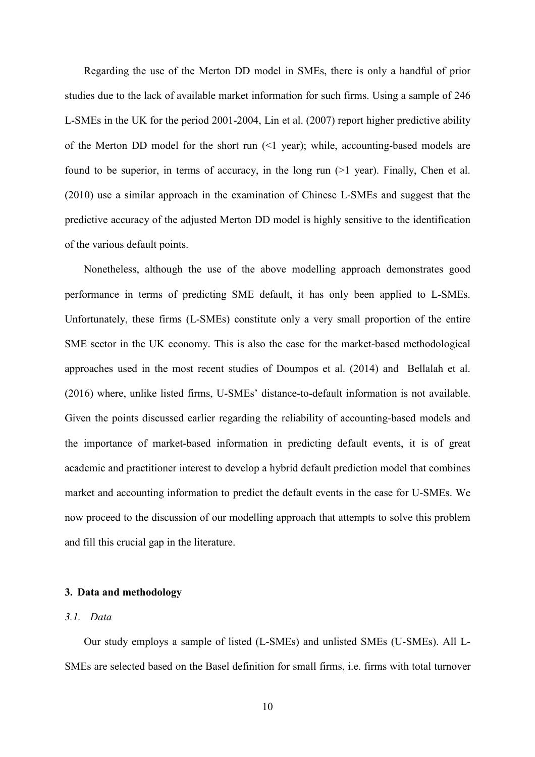Regarding the use of the Merton DD model in SMEs, there is only a handful of prior studies due to the lack of available market information for such firms. Using a sample of 246 L-SMEs in the UK for the period 2001-2004, Lin et al. (2007) report higher predictive ability of the Merton DD model for the short run (<1 year); while, accounting-based models are found to be superior, in terms of accuracy, in the long run (>1 year). Finally, Chen et al. (2010) use a similar approach in the examination of Chinese L-SMEs and suggest that the predictive accuracy of the adjusted Merton DD model is highly sensitive to the identification of the various default points.

Nonetheless, although the use of the above modelling approach demonstrates good performance in terms of predicting SME default, it has only been applied to L-SMEs. Unfortunately, these firms (L-SMEs) constitute only a very small proportion of the entire SME sector in the UK economy. This is also the case for the market-based methodological approaches used in the most recent studies of Doumpos et al. (2014) and Bellalah et al. (2016) where, unlike listed firms, U-SMEs' distance-to-default information is not available. Given the points discussed earlier regarding the reliability of accounting-based models and the importance of market-based information in predicting default events, it is of great academic and practitioner interest to develop a hybrid default prediction model that combines market and accounting information to predict the default events in the case for U-SMEs. We now proceed to the discussion of our modelling approach that attempts to solve this problem and fill this crucial gap in the literature.

#### **3. Data and methodology**

## *3.1. Data*

Our study employs a sample of listed (L-SMEs) and unlisted SMEs (U-SMEs). All L-SMEs are selected based on the Basel definition for small firms, i.e. firms with total turnover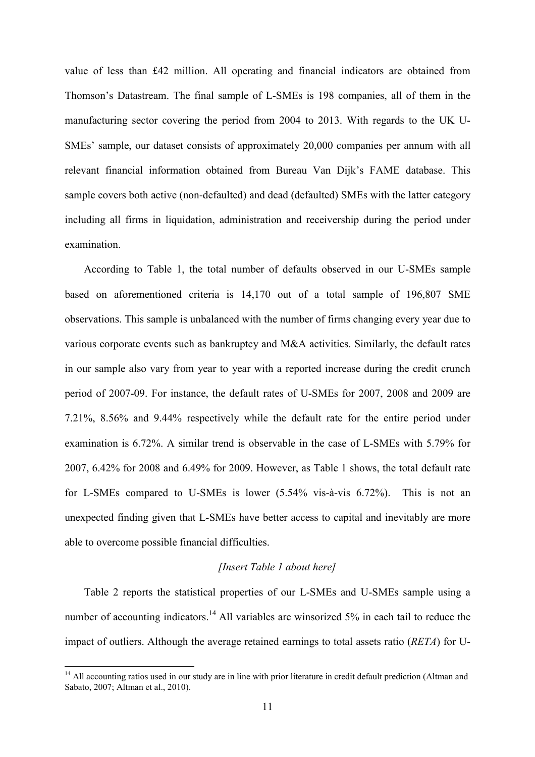value of less than £42 million. All operating and financial indicators are obtained from Thomson's Datastream. The final sample of L-SMEs is 198 companies, all of them in the manufacturing sector covering the period from 2004 to 2013. With regards to the UK U-SMEs' sample, our dataset consists of approximately 20,000 companies per annum with all relevant financial information obtained from Bureau Van Dijk's FAME database. This sample covers both active (non-defaulted) and dead (defaulted) SMEs with the latter category including all firms in liquidation, administration and receivership during the period under examination.

According to Table 1, the total number of defaults observed in our U-SMEs sample based on aforementioned criteria is 14,170 out of a total sample of 196,807 SME observations. This sample is unbalanced with the number of firms changing every year due to various corporate events such as bankruptcy and M&A activities. Similarly, the default rates in our sample also vary from year to year with a reported increase during the credit crunch period of 2007-09. For instance, the default rates of U-SMEs for 2007, 2008 and 2009 are 7.21%, 8.56% and 9.44% respectively while the default rate for the entire period under examination is 6.72%. A similar trend is observable in the case of L-SMEs with 5.79% for 2007, 6.42% for 2008 and 6.49% for 2009. However, as Table 1 shows, the total default rate for L-SMEs compared to U-SMEs is lower (5.54% vis-à-vis 6.72%). This is not an unexpected finding given that L-SMEs have better access to capital and inevitably are more able to overcome possible financial difficulties.

### *[Insert Table 1 about here]*

Table 2 reports the statistical properties of our L-SMEs and U-SMEs sample using a number of accounting indicators.<sup>14</sup> All variables are winsorized 5% in each tail to reduce the impact of outliers. Although the average retained earnings to total assets ratio (*RETA*) for U-

<sup>&</sup>lt;sup>14</sup> All accounting ratios used in our study are in line with prior literature in credit default prediction (Altman and Sabato, 2007; Altman et al., 2010).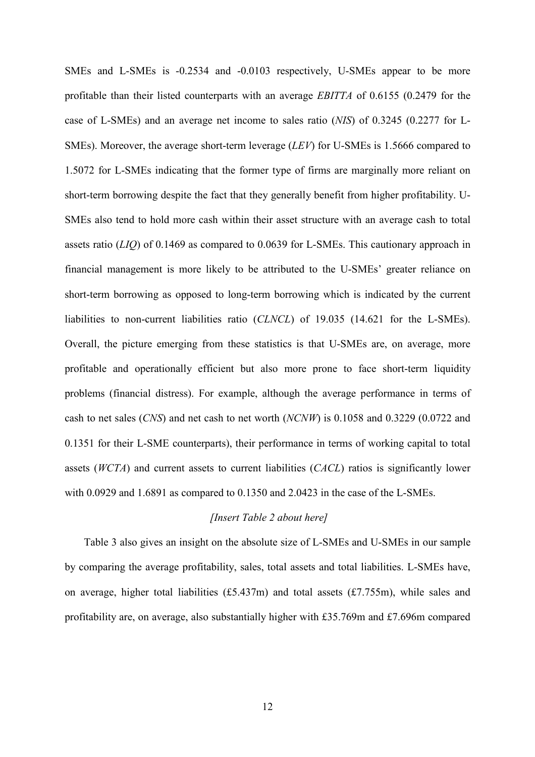SMEs and L-SMEs is -0.2534 and -0.0103 respectively, U-SMEs appear to be more profitable than their listed counterparts with an average *EBITTA* of 0.6155 (0.2479 for the case of L-SMEs) and an average net income to sales ratio (*NIS*) of 0.3245 (0.2277 for L-SMEs). Moreover, the average short-term leverage (*LEV*) for U-SMEs is 1.5666 compared to 1.5072 for L-SMEs indicating that the former type of firms are marginally more reliant on short-term borrowing despite the fact that they generally benefit from higher profitability. U-SMEs also tend to hold more cash within their asset structure with an average cash to total assets ratio (*LIQ*) of 0.1469 as compared to 0.0639 for L-SMEs. This cautionary approach in financial management is more likely to be attributed to the U-SMEs' greater reliance on short-term borrowing as opposed to long-term borrowing which is indicated by the current liabilities to non-current liabilities ratio (*CLNCL*) of 19.035 (14.621 for the L-SMEs). Overall, the picture emerging from these statistics is that U-SMEs are, on average, more profitable and operationally efficient but also more prone to face short-term liquidity problems (financial distress). For example, although the average performance in terms of cash to net sales (*CNS*) and net cash to net worth (*NCNW*) is 0.1058 and 0.3229 (0.0722 and 0.1351 for their L-SME counterparts), their performance in terms of working capital to total assets (*WCTA*) and current assets to current liabilities (*CACL*) ratios is significantly lower with 0.0929 and 1.6891 as compared to 0.1350 and 2.0423 in the case of the L-SMEs.

## *[Insert Table 2 about here]*

Table 3 also gives an insight on the absolute size of L-SMEs and U-SMEs in our sample by comparing the average profitability, sales, total assets and total liabilities. L-SMEs have, on average, higher total liabilities (£5.437m) and total assets (£7.755m), while sales and profitability are, on average, also substantially higher with £35.769m and £7.696m compared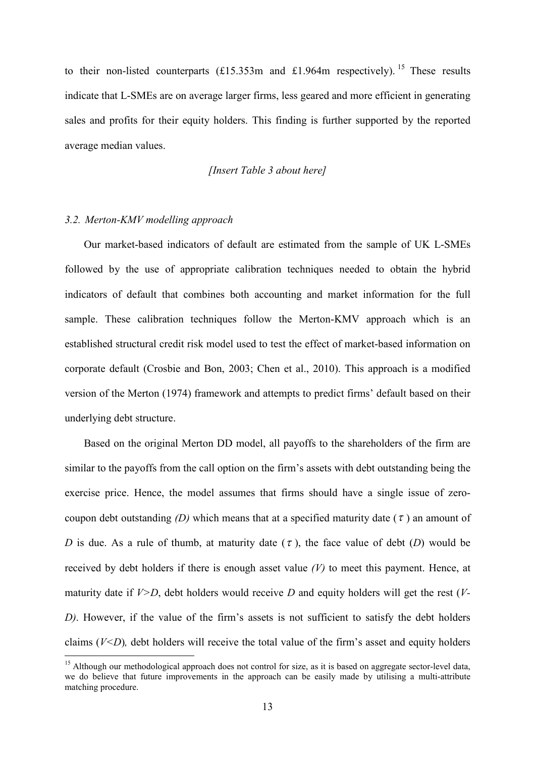to their non-listed counterparts  $(\text{\textsterling}15.353m$  and  $\text{\textsterling}1.964m$  respectively). <sup>15</sup> These results indicate that L-SMEs are on average larger firms, less geared and more efficient in generating sales and profits for their equity holders. This finding is further supported by the reported average median values.

#### *[Insert Table 3 about here]*

#### *3.2. Merton-KMV modelling approach*

Our market-based indicators of default are estimated from the sample of UK L-SMEs followed by the use of appropriate calibration techniques needed to obtain the hybrid indicators of default that combines both accounting and market information for the full sample. These calibration techniques follow the Merton-KMV approach which is an established structural credit risk model used to test the effect of market-based information on corporate default (Crosbie and Bon, 2003; Chen et al., 2010). This approach is a modified version of the Merton (1974) framework and attempts to predict firms' default based on their underlying debt structure.

Based on the original Merton DD model, all payoffs to the shareholders of the firm are similar to the payoffs from the call option on the firm's assets with debt outstanding being the exercise price. Hence, the model assumes that firms should have a single issue of zerocoupon debt outstanding *(D)* which means that at a specified maturity date  $(\tau)$  an amount of *D* is due. As a rule of thumb, at maturity date  $(\tau)$ , the face value of debt  $(D)$  would be received by debt holders if there is enough asset value *(V)* to meet this payment. Hence, at maturity date if *V>D*, debt holders would receive *D* and equity holders will get the rest (*V-D)*. However, if the value of the firm's assets is not sufficient to satisfy the debt holders claims (*V<D*)*,* debt holders will receive the total value of the firm's asset and equity holders

<sup>&</sup>lt;sup>15</sup> Although our methodological approach does not control for size, as it is based on aggregate sector-level data, we do believe that future improvements in the approach can be easily made by utilising a multi-attribute matching procedure.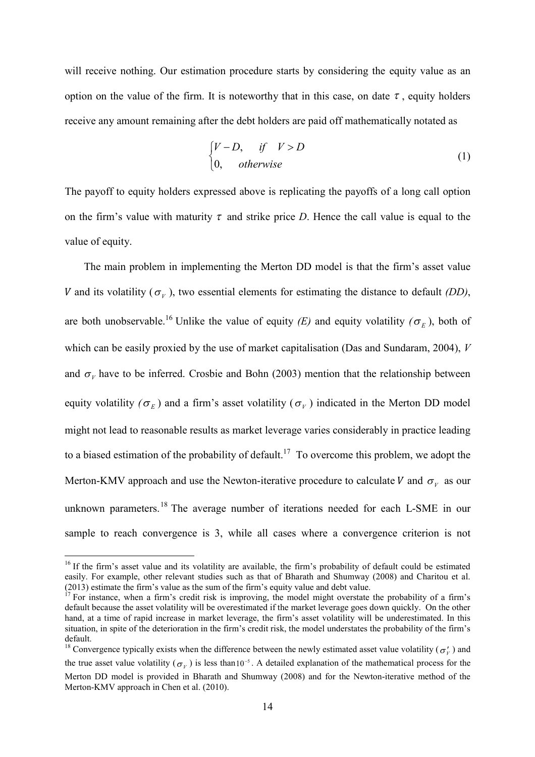will receive nothing. Our estimation procedure starts by considering the equity value as an option on the value of the firm. It is noteworthy that in this case, on date  $\tau$ , equity holders receive any amount remaining after the debt holders are paid off mathematically notated as

$$
\begin{cases}\nV - D, & if \quad V > D \\
0, & otherwise\n\end{cases} \tag{1}
$$

The payoff to equity holders expressed above is replicating the payoffs of a long call option on the firm's value with maturity  $\tau$  and strike price *D*. Hence the call value is equal to the value of equity.

The main problem in implementing the Merton DD model is that the firm's asset value V and its volatility ( $\sigma<sub>V</sub>$ ), two essential elements for estimating the distance to default *(DD)*, are both unobservable.<sup>16</sup> Unlike the value of equity *(E)* and equity volatility  $(\sigma_E)$ , both of which can be easily proxied by the use of market capitalisation (Das and Sundaram, 2004), *V* and  $\sigma<sub>V</sub>$  have to be inferred. Crosbie and Bohn (2003) mention that the relationship between equity volatility  $(\sigma_E)$  and a firm's asset volatility  $(\sigma_V)$  indicated in the Merton DD model might not lead to reasonable results as market leverage varies considerably in practice leading to a biased estimation of the probability of default.<sup>17</sup> To overcome this problem, we adopt the Merton-KMV approach and use the Newton-iterative procedure to calculate V and  $\sigma_{V}$  as our unknown parameters.<sup>18</sup> The average number of iterations needed for each L-SME in our sample to reach convergence is 3, while all cases where a convergence criterion is not

<sup>&</sup>lt;sup>16</sup> If the firm's asset value and its volatility are available, the firm's probability of default could be estimated easily. For example, other relevant studies such as that of Bharath and Shumway (2008) and Charitou et al. (2013) estimate the firm's value as the sum of the firm's equity value and debt value.

 $17$  For instance, when a firm's credit risk is improving, the model might overstate the probability of a firm's default because the asset volatility will be overestimated if the market leverage goes down quickly. On the other hand, at a time of rapid increase in market leverage, the firm's asset volatility will be underestimated. In this situation, in spite of the deterioration in the firm's credit risk, the model understates the probability of the firm's default.

<sup>&</sup>lt;sup>18</sup> Convergence typically exists when the difference between the newly estimated asset value volatility ( $\sigma'_v$ ) and the true asset value volatility ( $\sigma_V$ ) is less than 10<sup>-5</sup>. A detailed explanation of the mathematical process for the Merton DD model is provided in Bharath and Shumway (2008) and for the Newton-iterative method of the Merton-KMV approach in Chen et al. (2010).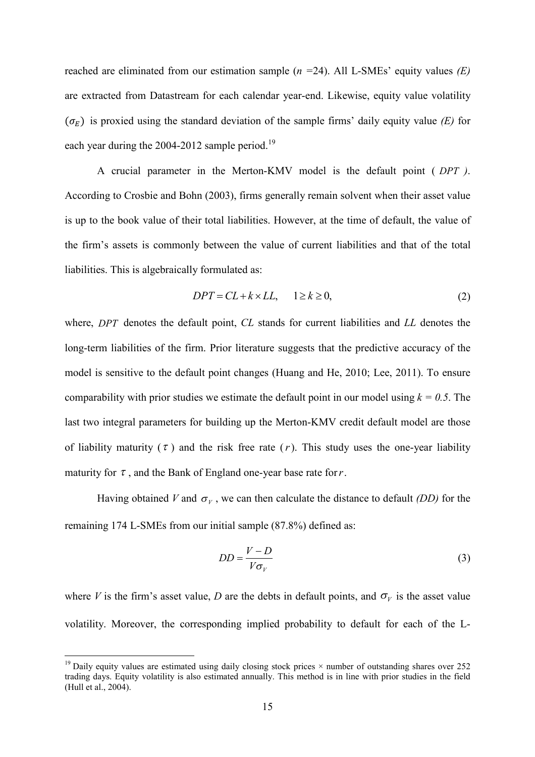reached are eliminated from our estimation sample (*n =*24). All L-SMEs' equity values *(E)* are extracted from Datastream for each calendar year-end. Likewise, equity value volatility  $(\sigma_F)$  is proxied using the standard deviation of the sample firms' daily equity value *(E)* for each year during the 2004-2012 sample period.<sup>19</sup>

A crucial parameter in the Merton-KMV model is the default point ( *DPT )*. According to Crosbie and Bohn (2003), firms generally remain solvent when their asset value is up to the book value of their total liabilities. However, at the time of default, the value of the firm's assets is commonly between the value of current liabilities and that of the total liabilities. This is algebraically formulated as:

$$
DPT = CL + k \times LL, \quad 1 \ge k \ge 0,
$$
\n<sup>(2)</sup>

where, *DPT* denotes the default point, *CL* stands for current liabilities and *LL* denotes the long-term liabilities of the firm. Prior literature suggests that the predictive accuracy of the model is sensitive to the default point changes (Huang and He, 2010; Lee, 2011). To ensure comparability with prior studies we estimate the default point in our model using  $k = 0.5$ . The last two integral parameters for building up the Merton-KMV credit default model are those of liability maturity  $(\tau)$  and the risk free rate  $(r)$ . This study uses the one-year liability maturity for  $\tau$ , and the Bank of England one-year base rate for  $r$ .

Having obtained *V* and  $\sigma_{V}$ , we can then calculate the distance to default *(DD)* for the remaining 174 L-SMEs from our initial sample (87.8%) defined as:

$$
DD = \frac{V - D}{V\sigma_V} \tag{3}
$$

where *V* is the firm's asset value, *D* are the debts in default points, and  $\sigma_V$  is the asset value volatility. Moreover, the corresponding implied probability to default for each of the L-

<sup>&</sup>lt;sup>19</sup> Daily equity values are estimated using daily closing stock prices  $\times$  number of outstanding shares over 252 trading days. Equity volatility is also estimated annually. This method is in line with prior studies in the field (Hull et al., 2004).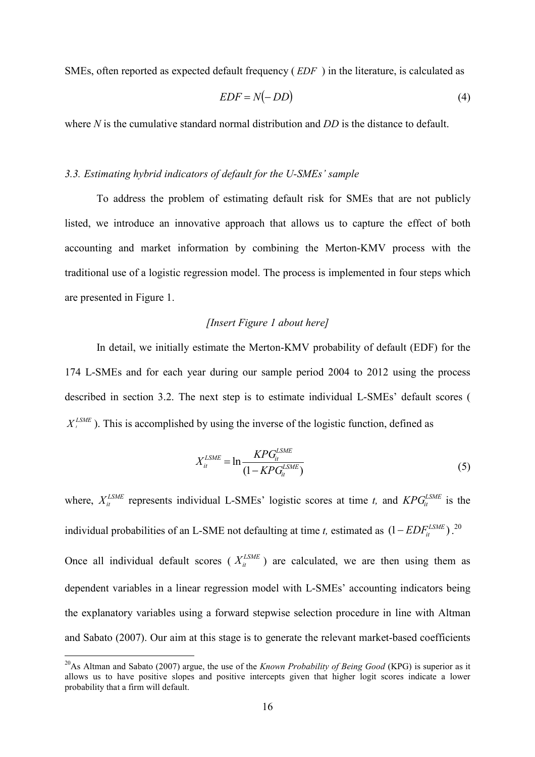SMEs, often reported as expected default frequency ( *EDF* ) in the literature, is calculated as

$$
EDF = N(-DD) \tag{4}
$$

where *N* is the cumulative standard normal distribution and *DD* is the distance to default.

#### *3.3. Estimating hybrid indicators of default for the U-SMEs' sample*

To address the problem of estimating default risk for SMEs that are not publicly listed, we introduce an innovative approach that allows us to capture the effect of both accounting and market information by combining the Merton-KMV process with the traditional use of a logistic regression model. The process is implemented in four steps which are presented in Figure 1.

## *[Insert Figure 1 about here]*

In detail, we initially estimate the Merton-KMV probability of default (EDF) for the 174 L-SMEs and for each year during our sample period 2004 to 2012 using the process described in section 3.2. The next step is to estimate individual L-SMEs' default scores (  $X_t^{LSME}$ ). This is accomplished by using the inverse of the logistic function, defined as

$$
X_{it}^{LSME} = \ln \frac{\text{KPG}_{it}^{\text{LSME}}}{(1 - \text{KPG}_{it}^{\text{LSME}})}\tag{5}
$$

where,  $X_i^{LSME}$  represents individual L-SMEs' logistic scores at time *t*, and  $KPG_i^{LSME}$  is the individual probabilities of an L-SME not defaulting at time *t*, estimated as  $(1 - EDF_{li}^{LSME})$ .<sup>20</sup> Once all individual default scores ( $X_i^{LSME}$ ) are calculated, we are then using them as dependent variables in a linear regression model with L-SMEs' accounting indicators being the explanatory variables using a forward stepwise selection procedure in line with Altman and Sabato (2007). Our aim at this stage is to generate the relevant market-based coefficients

<sup>&</sup>lt;sup>20</sup>As Altman and Sabato (2007) argue, the use of the *Known Probability of Being Good* (KPG) is superior as it allows us to have positive slopes and positive intercepts given that higher logit scores indicate a lower probability that a firm will default.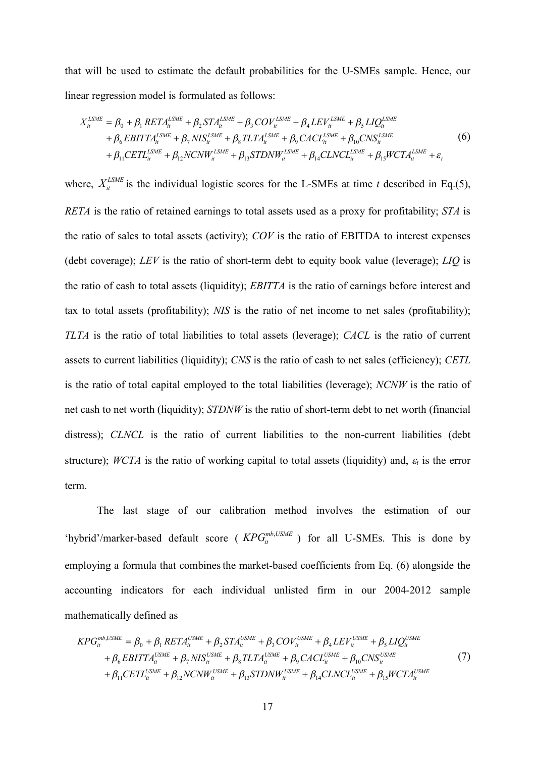that will be used to estimate the default probabilities for the U-SMEs sample. Hence, our linear regression model is formulated as follows:

$$
X_{ii}^{LSME} = \beta_0 + \beta_1 RETA_{ii}^{LSME} + \beta_2 STA_{ii}^{LSME} + \beta_3 COV_{ii}^{LSME} + \beta_4 LEV_{ii}^{LSME} + \beta_5 LIQ_{ii}^{LSME} + \beta_6 EBITTA_{ii}^{LSME} + \beta_7 NIS_{ii}^{LSME} + \beta_8 TLTA_{ii}^{LSME} + \beta_9 CACL_{ii}^{LSME} + \beta_{10} CNN_{ii}^{LSME} + \beta_{11} CETL_{ii}^{LSME} + \beta_{12} NCNW_{ii}^{LSME} + \beta_{13} STDNW_{ii}^{LSME} + \beta_{14} CLNCL_{ii}^{LSME} + \beta_{15} WCTA_{ii}^{LSME} + \varepsilon_t
$$
(6)

where,  $X_{ii}^{LSME}$  is the individual logistic scores for the L-SMEs at time *t* described in Eq.(5), *RETA* is the ratio of retained earnings to total assets used as a proxy for profitability; *STA* is the ratio of sales to total assets (activity); *COV* is the ratio of EBITDA to interest expenses (debt coverage); *LEV* is the ratio of short-term debt to equity book value (leverage); *LIQ* is the ratio of cash to total assets (liquidity); *EBITTA* is the ratio of earnings before interest and tax to total assets (profitability); *NIS* is the ratio of net income to net sales (profitability); *TLTA* is the ratio of total liabilities to total assets (leverage); *CACL* is the ratio of current assets to current liabilities (liquidity); *CNS* is the ratio of cash to net sales (efficiency); *CETL* is the ratio of total capital employed to the total liabilities (leverage); *NCNW* is the ratio of net cash to net worth (liquidity); *STDNW* is the ratio of short-term debt to net worth (financial distress); *CLNCL* is the ratio of current liabilities to the non-current liabilities (debt structure); *WCTA* is the ratio of working capital to total assets (liquidity) and,  $\varepsilon_t$  is the error term.

The last stage of our calibration method involves the estimation of our 'hybrid'/marker-based default score ( $KPG_{it}^{mb,USME}$ ) for all U-SMEs. This is done by employing a formula that combines the market-based coefficients from Eq. (6) alongside the accounting indicators for each individual unlisted firm in our 2004-2012 sample mathematically defined as

$$
KPG_{it}^{mb,USME} = \beta_0 + \beta_1 RETA_{it}^{USME} + \beta_2 STA_{it}^{USME} + \beta_3 COV_{it}^{USME} + \beta_4 LEV_{it}^{USME} + \beta_5 LIQ_{it}^{USME}
$$
  
+  $\beta_6 EBITTA_{it}^{USME} + \beta_7 NIS_{it}^{USME} + \beta_8 TLTA_{it}^{USME} + \beta_9 CACL_{it}^{USME} + \beta_{10} CNS_{it}^{USME}$   
+  $\beta_{11} CETL_{it}^{USME} + \beta_{12} NCNW_{it}^{USME} + \beta_{13} STDNW_{it}^{USME} + \beta_{14} CLNCL_{it}^{USME} + \beta_{15} WCTA_{it}^{USME}$  (7)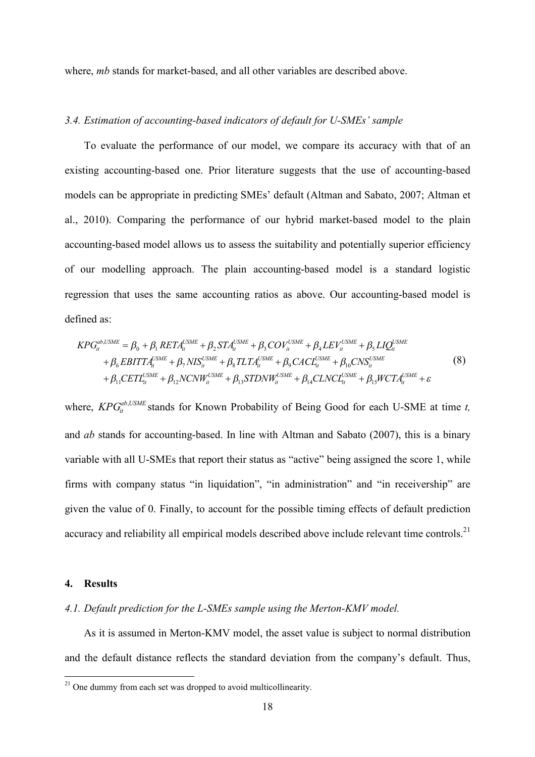where, *mb* stands for market-based, and all other variables are described above.

## *3.4. Estimation of accounting-based indicators of default for U-SMEs' sample*

To evaluate the performance of our model, we compare its accuracy with that of an existing accounting-based one. Prior literature suggests that the use of accounting-based models can be appropriate in predicting SMEs' default (Altman and Sabato, 2007; Altman et al., 2010). Comparing the performance of our hybrid market-based model to the plain accounting-based model allows us to assess the suitability and potentially superior efficiency of our modelling approach. The plain accounting-based model is a standard logistic regression that uses the same accounting ratios as above. Our accounting-based model is defined as:

$$
KPG_{it}^{ab,USME} = \beta_0 + \beta_1 RETA_{it}^{USME} + \beta_2 STA_{it}^{USME} + \beta_3 COV_{it}^{USME} + \beta_4 LEV_{it}^{USME} + \beta_5 LIQ_{it}^{USME}
$$
  
+  $\beta_6 EBITTA_{it}^{USME} + \beta_7 NIS_{it}^{USME} + \beta_8 TLTA_{it}^{USME} + \beta_9 CACI_{it}^{USME} + \beta_{10} CNS_{it}^{USME}$   
+  $\beta_{11} CETL_{it}^{USME} + \beta_{12} NCNW_{it}^{USME} + \beta_{13} STDNW_{it}^{USME} + \beta_{14} CLNCI_{it}^{USME} + \beta_{15} WCTA_{it}^{USME} + \varepsilon$  (8)

where,  $\textit{KPG}_{it}^{ab, \textit{USME}}$  stands for Known Probability of Being Good for each U-SME at time *t*, and *ab* stands for accounting-based. In line with Altman and Sabato (2007), this is a binary variable with all U-SMEs that report their status as "active" being assigned the score 1, while firms with company status "in liquidation", "in administration" and "in receivership" are given the value of 0. Finally, to account for the possible timing effects of default prediction accuracy and reliability all empirical models described above include relevant time controls.<sup>21</sup>

#### **4. Results**

## *4.1. Default prediction for the L-SMEs sample using the Merton-KMV model.*

As it is assumed in Merton-KMV model, the asset value is subject to normal distribution and the default distance reflects the standard deviation from the company's default. Thus,

 $21$  One dummy from each set was dropped to avoid multicollinearity.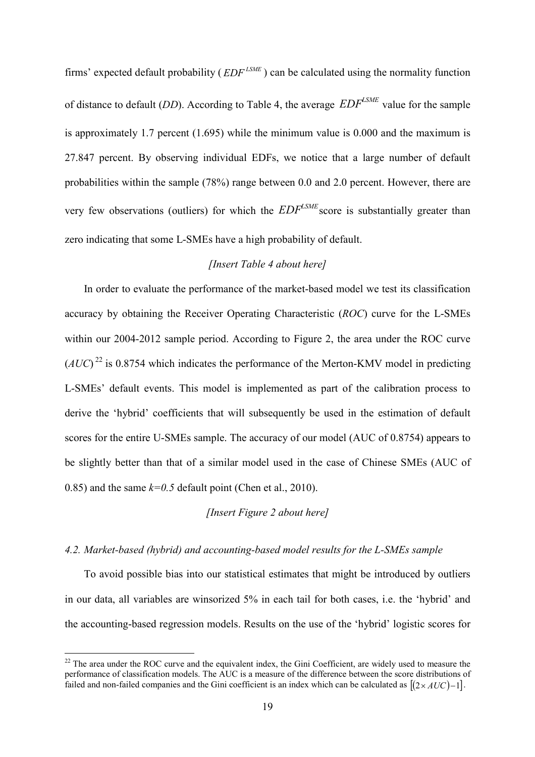firms' expected default probability ( $EDF^{LSME}$ ) can be calculated using the normality function of distance to default (*DD*). According to Table 4, the average *LSME EDF* value for the sample is approximately 1.7 percent (1.695) while the minimum value is 0.000 and the maximum is 27.847 percent. By observing individual EDFs, we notice that a large number of default probabilities within the sample (78%) range between 0.0 and 2.0 percent. However, there are very few observations (outliers) for which the  $EDF^{LSME}$  score is substantially greater than zero indicating that some L-SMEs have a high probability of default.

## *[Insert Table 4 about here]*

In order to evaluate the performance of the market-based model we test its classification accuracy by obtaining the Receiver Operating Characteristic (*ROC*) curve for the L-SMEs within our 2004-2012 sample period. According to Figure 2, the area under the ROC curve  $(AUC)^{22}$  is 0.8754 which indicates the performance of the Merton-KMV model in predicting L-SMEs' default events. This model is implemented as part of the calibration process to derive the 'hybrid' coefficients that will subsequently be used in the estimation of default scores for the entire U-SMEs sample. The accuracy of our model (AUC of 0.8754) appears to be slightly better than that of a similar model used in the case of Chinese SMEs (AUC of 0.85) and the same  $k=0.5$  default point (Chen et al., 2010).

## *[Insert Figure 2 about here]*

## *4.2. Market-based (hybrid) and accounting-based model results for the L-SMEs sample*

To avoid possible bias into our statistical estimates that might be introduced by outliers in our data, all variables are winsorized 5% in each tail for both cases, i.e. the 'hybrid' and the accounting-based regression models. Results on the use of the 'hybrid' logistic scores for

 $22$  The area under the ROC curve and the equivalent index, the Gini Coefficient, are widely used to measure the performance of classification models. The AUC is a measure of the difference between the score distributions of failed and non-failed companies and the Gini coefficient is an index which can be calculated as  $[(2 \times AUC) - 1]$ .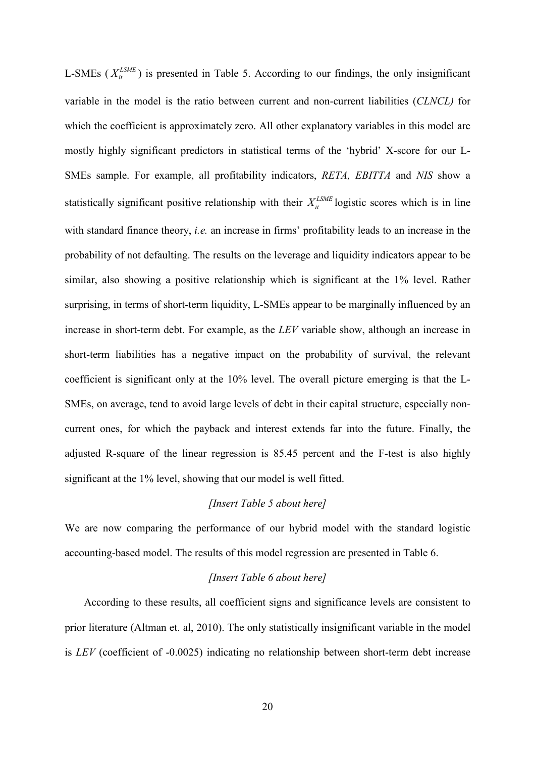L-SMEs ( $X_i^{LSME}$ ) is presented in Table 5. According to our findings, the only insignificant variable in the model is the ratio between current and non-current liabilities (*CLNCL)* for which the coefficient is approximately zero. All other explanatory variables in this model are mostly highly significant predictors in statistical terms of the 'hybrid' X-score for our L-SMEs sample. For example, all profitability indicators, *RETA, EBITTA* and *NIS* show a statistically significant positive relationship with their  $X_i^{LSME}$  logistic scores which is in line with standard finance theory, *i.e.* an increase in firms' profitability leads to an increase in the probability of not defaulting. The results on the leverage and liquidity indicators appear to be similar, also showing a positive relationship which is significant at the 1% level. Rather surprising, in terms of short-term liquidity, L-SMEs appear to be marginally influenced by an increase in short-term debt. For example, as the *LEV* variable show, although an increase in short-term liabilities has a negative impact on the probability of survival, the relevant coefficient is significant only at the 10% level. The overall picture emerging is that the L-SMEs, on average, tend to avoid large levels of debt in their capital structure, especially noncurrent ones, for which the payback and interest extends far into the future. Finally, the adjusted R-square of the linear regression is 85.45 percent and the F-test is also highly significant at the 1% level, showing that our model is well fitted.

### *[Insert Table 5 about here]*

We are now comparing the performance of our hybrid model with the standard logistic accounting-based model. The results of this model regression are presented in Table 6.

#### *[Insert Table 6 about here]*

According to these results, all coefficient signs and significance levels are consistent to prior literature (Altman et. al, 2010). The only statistically insignificant variable in the model is *LEV* (coefficient of -0.0025) indicating no relationship between short-term debt increase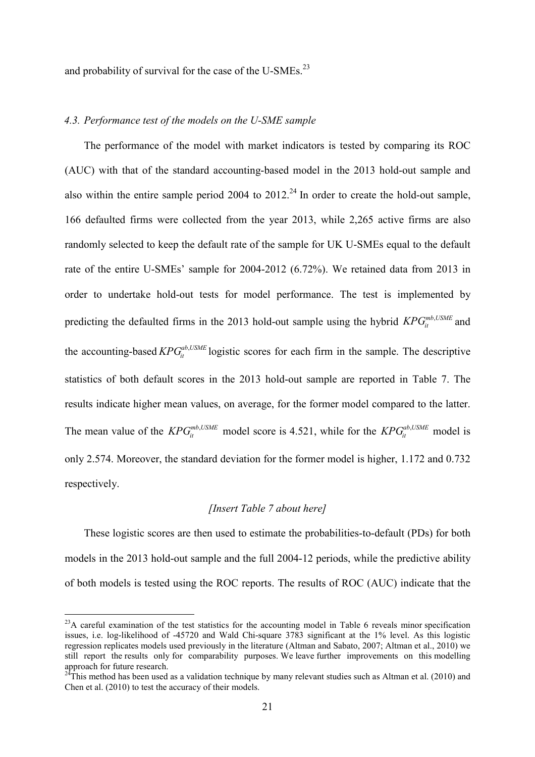and probability of survival for the case of the U-SMEs.<sup>23</sup>

## *4.3. Performance test of the models on the U-SME sample*

The performance of the model with market indicators is tested by comparing its ROC (AUC) with that of the standard accounting-based model in the 2013 hold-out sample and also within the entire sample period 2004 to  $2012<sup>24</sup>$  In order to create the hold-out sample, 166 defaulted firms were collected from the year 2013, while 2,265 active firms are also randomly selected to keep the default rate of the sample for UK U-SMEs equal to the default rate of the entire U-SMEs' sample for 2004-2012 (6.72%). We retained data from 2013 in order to undertake hold-out tests for model performance. The test is implemented by predicting the defaulted firms in the 2013 hold-out sample using the hybrid  $\mathit{KPG}_{it}^{\mathit{mb},\mathit{USME}}$  and the accounting-based  $KPG_{it}^{ab,USME}$  logistic scores for each firm in the sample. The descriptive statistics of both default scores in the 2013 hold-out sample are reported in Table 7. The results indicate higher mean values, on average, for the former model compared to the latter. The mean value of the  $KPG_{it}^{mb,USME}$  model score is 4.521, while for the  $KPG_{it}^{ab,USME}$  model is only 2.574. Moreover, the standard deviation for the former model is higher, 1.172 and 0.732 respectively.

## *[Insert Table 7 about here]*

These logistic scores are then used to estimate the probabilities-to-default (PDs) for both models in the 2013 hold-out sample and the full 2004-12 periods, while the predictive ability of both models is tested using the ROC reports. The results of ROC (AUC) indicate that the

<sup>&</sup>lt;sup>23</sup>A careful examination of the test statistics for the accounting model in Table 6 reveals minor specification issues, i.e. log-likelihood of -45720 and Wald Chi-square 3783 significant at the 1% level. As this logistic regression replicates models used previously in the literature (Altman and Sabato, 2007; Altman et al., 2010) we still report the results only for comparability purposes. We leave further improvements on this modelling approach for future research.

 $^{24}$ This method has been used as a validation technique by many relevant studies such as Altman et al. (2010) and Chen et al. (2010) to test the accuracy of their models.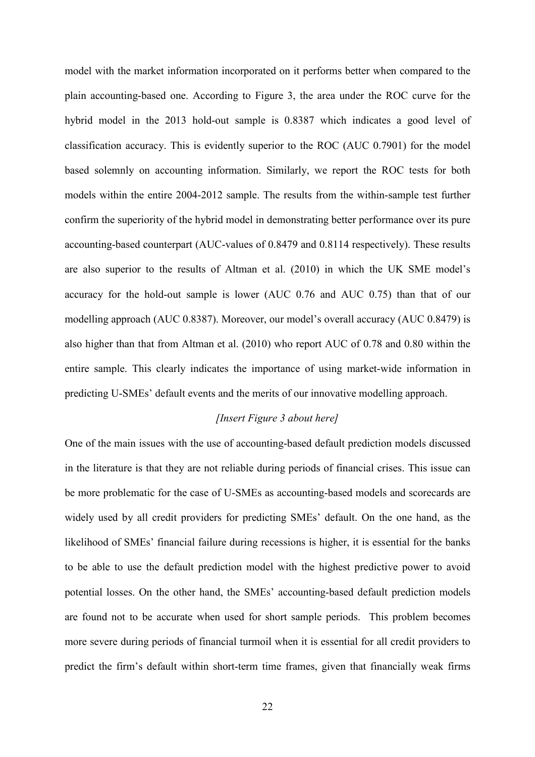model with the market information incorporated on it performs better when compared to the plain accounting-based one. According to Figure 3, the area under the ROC curve for the hybrid model in the 2013 hold-out sample is 0.8387 which indicates a good level of classification accuracy. This is evidently superior to the ROC (AUC 0.7901) for the model based solemnly on accounting information. Similarly, we report the ROC tests for both models within the entire 2004-2012 sample. The results from the within-sample test further confirm the superiority of the hybrid model in demonstrating better performance over its pure accounting-based counterpart (AUC-values of 0.8479 and 0.8114 respectively). These results are also superior to the results of Altman et al. (2010) in which the UK SME model's accuracy for the hold-out sample is lower (AUC 0.76 and AUC 0.75) than that of our modelling approach (AUC 0.8387). Moreover, our model's overall accuracy (AUC 0.8479) is also higher than that from Altman et al. (2010) who report AUC of 0.78 and 0.80 within the entire sample. This clearly indicates the importance of using market-wide information in predicting U-SMEs' default events and the merits of our innovative modelling approach.

## *[Insert Figure 3 about here]*

One of the main issues with the use of accounting-based default prediction models discussed in the literature is that they are not reliable during periods of financial crises. This issue can be more problematic for the case of U-SMEs as accounting-based models and scorecards are widely used by all credit providers for predicting SMEs' default. On the one hand, as the likelihood of SMEs' financial failure during recessions is higher, it is essential for the banks to be able to use the default prediction model with the highest predictive power to avoid potential losses. On the other hand, the SMEs' accounting-based default prediction models are found not to be accurate when used for short sample periods. This problem becomes more severe during periods of financial turmoil when it is essential for all credit providers to predict the firm's default within short-term time frames, given that financially weak firms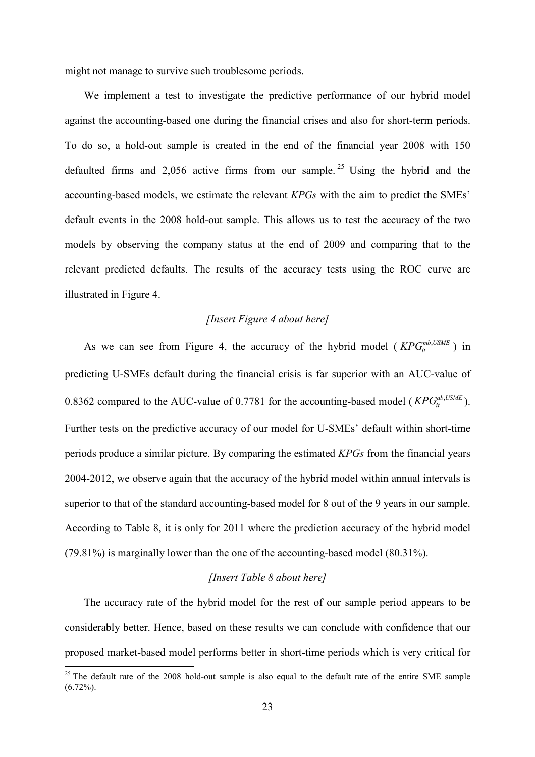might not manage to survive such troublesome periods.

We implement a test to investigate the predictive performance of our hybrid model against the accounting-based one during the financial crises and also for short-term periods. To do so, a hold-out sample is created in the end of the financial year 2008 with 150 defaulted firms and 2,056 active firms from our sample.<sup>25</sup> Using the hybrid and the accounting-based models, we estimate the relevant *KPGs* with the aim to predict the SMEs' default events in the 2008 hold-out sample. This allows us to test the accuracy of the two models by observing the company status at the end of 2009 and comparing that to the relevant predicted defaults. The results of the accuracy tests using the ROC curve are illustrated in Figure 4.

## *[Insert Figure 4 about here]*

As we can see from Figure 4, the accuracy of the hybrid model ( $KPG_i^{mb,USME}$ ) in predicting U-SMEs default during the financial crisis is far superior with an AUC-value of 0.8362 compared to the AUC-value of 0.7781 for the accounting-based model ( $KPG<sub>it</sub><sup>ab,USME</sup>$ ). Further tests on the predictive accuracy of our model for U-SMEs' default within short-time periods produce a similar picture. By comparing the estimated *KPGs* from the financial years 2004-2012, we observe again that the accuracy of the hybrid model within annual intervals is superior to that of the standard accounting-based model for 8 out of the 9 years in our sample. According to Table 8, it is only for 2011 where the prediction accuracy of the hybrid model (79.81%) is marginally lower than the one of the accounting-based model (80.31%).

## *[Insert Table 8 about here]*

The accuracy rate of the hybrid model for the rest of our sample period appears to be considerably better. Hence, based on these results we can conclude with confidence that our proposed market-based model performs better in short-time periods which is very critical for

<sup>&</sup>lt;sup>25</sup> The default rate of the 2008 hold-out sample is also equal to the default rate of the entire SME sample (6.72%).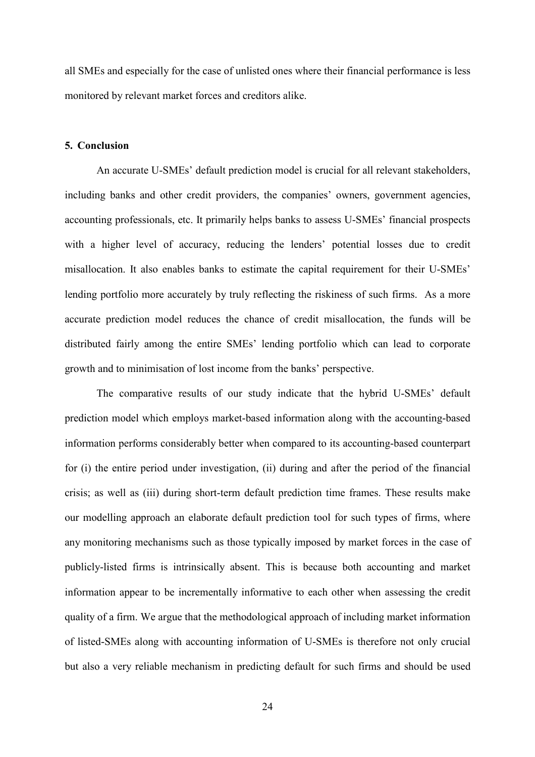all SMEs and especially for the case of unlisted ones where their financial performance is less monitored by relevant market forces and creditors alike.

## **5. Conclusion**

An accurate U-SMEs' default prediction model is crucial for all relevant stakeholders, including banks and other credit providers, the companies' owners, government agencies, accounting professionals, etc. It primarily helps banks to assess U-SMEs' financial prospects with a higher level of accuracy, reducing the lenders' potential losses due to credit misallocation. It also enables banks to estimate the capital requirement for their U-SMEs' lending portfolio more accurately by truly reflecting the riskiness of such firms. As a more accurate prediction model reduces the chance of credit misallocation, the funds will be distributed fairly among the entire SMEs' lending portfolio which can lead to corporate growth and to minimisation of lost income from the banks' perspective.

The comparative results of our study indicate that the hybrid U-SMEs' default prediction model which employs market-based information along with the accounting-based information performs considerably better when compared to its accounting-based counterpart for (i) the entire period under investigation, (ii) during and after the period of the financial crisis; as well as (iii) during short-term default prediction time frames. These results make our modelling approach an elaborate default prediction tool for such types of firms, where any monitoring mechanisms such as those typically imposed by market forces in the case of publicly-listed firms is intrinsically absent. This is because both accounting and market information appear to be incrementally informative to each other when assessing the credit quality of a firm. We argue that the methodological approach of including market information of listed-SMEs along with accounting information of U-SMEs is therefore not only crucial but also a very reliable mechanism in predicting default for such firms and should be used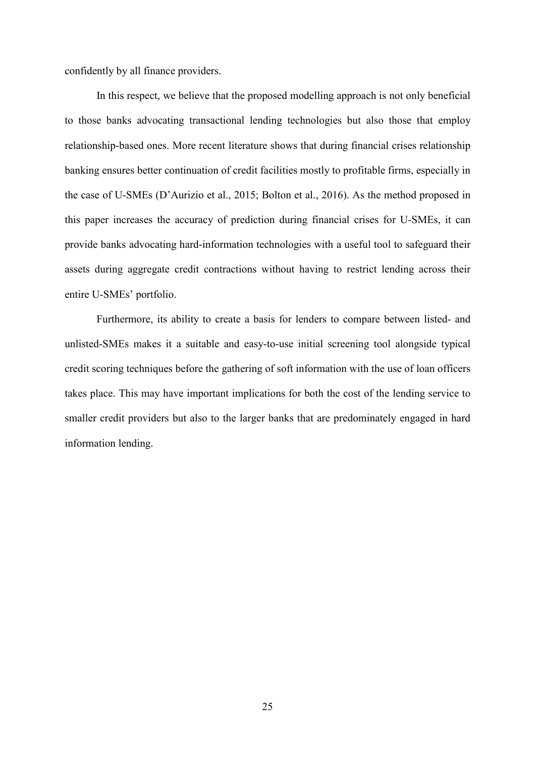confidently by all finance providers.

In this respect, we believe that the proposed modelling approach is not only beneficial to those banks advocating transactional lending technologies but also those that employ relationship-based ones. More recent literature shows that during financial crises relationship banking ensures better continuation of credit facilities mostly to profitable firms, especially in the case of U-SMEs (D'Aurizio et al., 2015; Bolton et al., 2016). As the method proposed in this paper increases the accuracy of prediction during financial crises for U-SMEs, it can provide banks advocating hard-information technologies with a useful tool to safeguard their assets during aggregate credit contractions without having to restrict lending across their entire U-SMEs' portfolio.

Furthermore, its ability to create a basis for lenders to compare between listed- and unlisted-SMEs makes it a suitable and easy-to-use initial screening tool alongside typical credit scoring techniques before the gathering of soft information with the use of loan officers takes place. This may have important implications for both the cost of the lending service to smaller credit providers but also to the larger banks that are predominately engaged in hard information lending.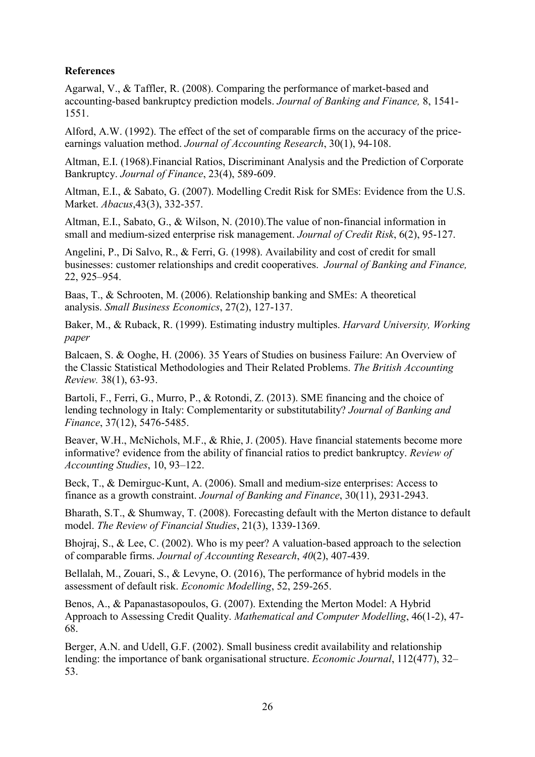# **References**

Agarwal, V., & Taffler, R. (2008). Comparing the performance of market-based and accounting-based bankruptcy prediction models. *Journal of Banking and Finance,* 8, 1541- 1551.

Alford, A.W. (1992). The effect of the set of comparable firms on the accuracy of the priceearnings valuation method. *Journal of Accounting Research*, 30(1), 94-108.

Altman, E.I. (1968).Financial Ratios, Discriminant Analysis and the Prediction of Corporate Bankruptcy. *Journal of Finance*, 23(4), 589-609.

Altman, E.I., & Sabato, G. (2007). Modelling Credit Risk for SMEs: Evidence from the U.S. Market. *Abacus*,43(3), 332-357.

Altman, E.I., Sabato, G., & Wilson, N. (2010).The value of non-financial information in small and medium-sized enterprise risk management. *Journal of Credit Risk*, 6(2), 95-127.

Angelini, P., Di Salvo, R., & Ferri, G. (1998). Availability and cost of credit for small businesses: customer relationships and credit cooperatives. *Journal of Banking and Finance,* 22, 925–954.

Baas, T., & Schrooten, M. (2006). Relationship banking and SMEs: A theoretical analysis. *Small Business Economics*, 27(2), 127-137.

Baker, M., & Ruback, R. (1999). Estimating industry multiples. *Harvard University, Working paper*

Balcaen, S. & Ooghe, H. (2006). 35 Years of Studies on business Failure: An Overview of the Classic Statistical Methodologies and Their Related Problems. *The British Accounting Review.* 38(1), 63-93.

Bartoli, F., Ferri, G., Murro, P., & Rotondi, Z. (2013). SME financing and the choice of lending technology in Italy: Complementarity or substitutability? *Journal of Banking and Finance*, 37(12), 5476-5485.

Beaver, W.H., McNichols, M.F., & Rhie, J. (2005). Have financial statements become more informative? evidence from the ability of financial ratios to predict bankruptcy. *Review of Accounting Studies*, 10, 93–122.

Beck, T., & Demirguc-Kunt, A. (2006). Small and medium-size enterprises: Access to finance as a growth constraint. *Journal of Banking and Finance*, 30(11), 2931-2943.

Bharath, S.T., & Shumway, T. (2008). Forecasting default with the Merton distance to default model. *The Review of Financial Studies*, 21(3), 1339-1369.

Bhojraj, S., & Lee, C. (2002). Who is my peer? A valuation-based approach to the selection of comparable firms. *Journal of Accounting Research*, *40*(2), 407-439.

Bellalah, M., Zouari, S., & Levyne, O. (2016), The performance of hybrid models in the assessment of default risk. *Economic Modelling*, 52, 259-265.

Benos, A., & Papanastasopoulos, G. (2007). Extending the Merton Model: A Hybrid Approach to Assessing Credit Quality. *Mathematical and Computer Modelling*, 46(1-2), 47- 68.

Berger, A.N. and Udell, G.F. (2002). Small business credit availability and relationship lending: the importance of bank organisational structure. *Economic Journal*, 112(477), 32– 53.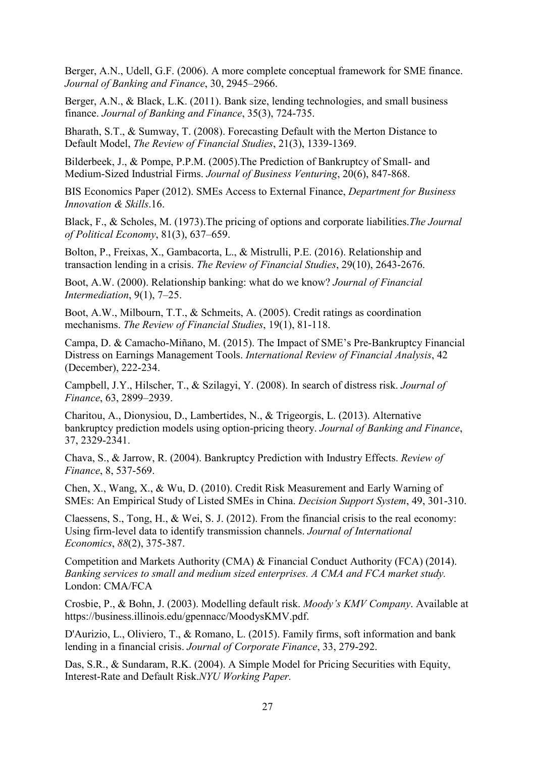Berger, A.N., Udell, G.F. (2006). A more complete conceptual framework for SME finance. *Journal of Banking and Finance*, 30, 2945–2966.

Berger, A.N., & Black, L.K. (2011). Bank size, lending technologies, and small business finance. *Journal of Banking and Finance*, 35(3), 724-735.

Bharath, S.T., & Sumway, T. (2008). Forecasting Default with the Merton Distance to Default Model, *The Review of Financial Studies*, 21(3), 1339-1369.

Bilderbeek, J., & Pompe, P.P.M. (2005).The Prediction of Bankruptcy of Small- and Medium-Sized Industrial Firms. *Journal of Business Venturing*, 20(6), 847-868.

BIS Economics Paper (2012). SMEs Access to External Finance, *Department for Business Innovation & Skills*.16.

Black, F., & Scholes, M. (1973).The pricing of options and corporate liabilities.*The Journal of Political Economy*, 81(3), 637–659.

Bolton, P., Freixas, X., Gambacorta, L., & Mistrulli, P.E. (2016). Relationship and transaction lending in a crisis. *The Review of Financial Studies*, 29(10), 2643-2676.

Boot, A.W. (2000). Relationship banking: what do we know? *Journal of Financial Intermediation*, 9(1), 7–25.

Boot, A.W., Milbourn, T.T., & Schmeits, A. (2005). Credit ratings as coordination mechanisms. *The Review of Financial Studies*, 19(1), 81-118.

Campa, D. & Camacho-Miñano, M. (2015). The Impact of SME's Pre-Bankruptcy Financial Distress on Earnings Management Tools. *International Review of Financial Analysis*, 42 (December), 222-234.

Campbell, J.Y., Hilscher, T., & Szilagyi, Y. (2008). In search of distress risk. *Journal of Finance*, 63, 2899–2939.

Charitou, A., Dionysiou, D., Lambertides, N., & Trigeorgis, L. (2013). Alternative bankruptcy prediction models using option-pricing theory. *Journal of Banking and Finance*, 37, 2329-2341.

Chava, S., & Jarrow, R. (2004). Bankruptcy Prediction with Industry Effects. *Review of Finance*, 8, 537-569.

Chen, X., Wang, X., & Wu, D. (2010). Credit Risk Measurement and Early Warning of SMEs: An Empirical Study of Listed SMEs in China. *Decision Support System*, 49, 301-310.

Claessens, S., Tong, H., & Wei, S. J. (2012). From the financial crisis to the real economy: Using firm-level data to identify transmission channels. *Journal of International Economics*, *88*(2), 375-387.

Competition and Markets Authority (CMA) & Financial Conduct Authority (FCA) (2014). *Banking services to small and medium sized enterprises. A CMA and FCA market study.* London: CMA/FCA

Crosbie, P., & Bohn, J. (2003). Modelling default risk. *Moody's KMV Company*. Available at https://business.illinois.edu/gpennacc/MoodysKMV.pdf.

D'Aurizio, L., Oliviero, T., & Romano, L. (2015). Family firms, soft information and bank lending in a financial crisis. *Journal of Corporate Finance*, 33, 279-292.

Das, S.R., & Sundaram, R.K. (2004). A Simple Model for Pricing Securities with Equity, Interest-Rate and Default Risk.*NYU Working Paper.*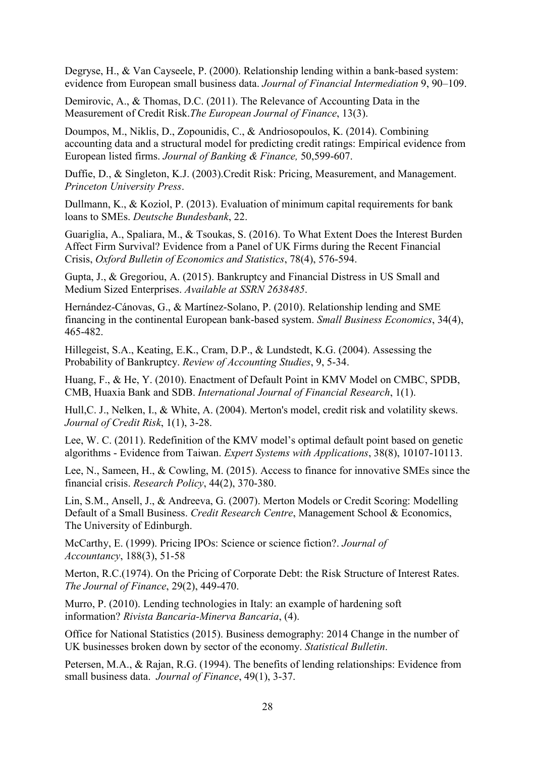Degryse, H., & Van Cayseele, P. (2000). Relationship lending within a bank-based system: evidence from European small business data. *Journal of Financial Intermediation* 9, 90–109.

Demirovic, A., & Thomas, D.C. (2011). The Relevance of Accounting Data in the Measurement of Credit Risk.*The European Journal of Finance*, 13(3).

Doumpos, M., Niklis, D., Zopounidis, C., & Andriosopoulos, K. (2014). Combining accounting data and a structural model for predicting credit ratings: Empirical evidence from European listed firms. *Journal of Banking & Finance,* 50,599-607.

Duffie, D., & Singleton, K.J. (2003).Credit Risk: Pricing, Measurement, and Management. *Princeton University Press*.

Dullmann, K., & Koziol, P. (2013). Evaluation of minimum capital requirements for bank loans to SMEs. *Deutsche Bundesbank*, 22.

Guariglia, A., Spaliara, M., & Tsoukas, S. (2016). To What Extent Does the Interest Burden Affect Firm Survival? Evidence from a Panel of UK Firms during the Recent Financial Crisis, *Oxford Bulletin of Economics and Statistics*, 78(4), 576-594.

Gupta, J., & Gregoriou, A. (2015). Bankruptcy and Financial Distress in US Small and Medium Sized Enterprises. *Available at SSRN 2638485*.

Hernández-Cánovas, G., & Martínez-Solano, P. (2010). Relationship lending and SME financing in the continental European bank-based system. *Small Business Economics*, 34(4), 465-482.

Hillegeist, S.A., Keating, E.K., Cram, D.P., & Lundstedt, K.G. (2004). Assessing the Probability of Bankruptcy. *Review of Accounting Studies*, 9, 5-34.

Huang, F., & He, Y. (2010). Enactment of Default Point in KMV Model on CMBC, SPDB, CMB, Huaxia Bank and SDB. *International Journal of Financial Research*, 1(1).

Hull, C. J., Nelken, I., & White, A. (2004). Merton's model, credit risk and volatility skews. *Journal of Credit Risk*, 1(1), 3-28.

Lee, W. C. (2011). Redefinition of the KMV model's optimal default point based on genetic algorithms - Evidence from Taiwan. *Expert Systems with Applications*, 38(8), 10107-10113.

Lee, N., Sameen, H., & Cowling, M. (2015). Access to finance for innovative SMEs since the financial crisis. *Research Policy*, 44(2), 370-380.

Lin, S.M., Ansell, J., & Andreeva, G. (2007). Merton Models or Credit Scoring: Modelling Default of a Small Business. *Credit Research Centre*, Management School & Economics, The University of Edinburgh.

McCarthy, E. (1999). Pricing IPOs: Science or science fiction?. *Journal of Accountancy*, 188(3), 51-58

Merton, R.C.(1974). On the Pricing of Corporate Debt: the Risk Structure of Interest Rates. *The Journal of Finance*, 29(2), 449-470.

Murro, P. (2010). Lending technologies in Italy: an example of hardening soft information? *Rivista Bancaria-Minerva Bancaria*, (4).

Office for National Statistics (2015). Business demography: 2014 Change in the number of UK businesses broken down by sector of the economy. *Statistical Bulletin*.

Petersen, M.A., & Rajan, R.G. (1994). The benefits of lending relationships: Evidence from small business data. *Journal of Finance*, 49(1), 3-37.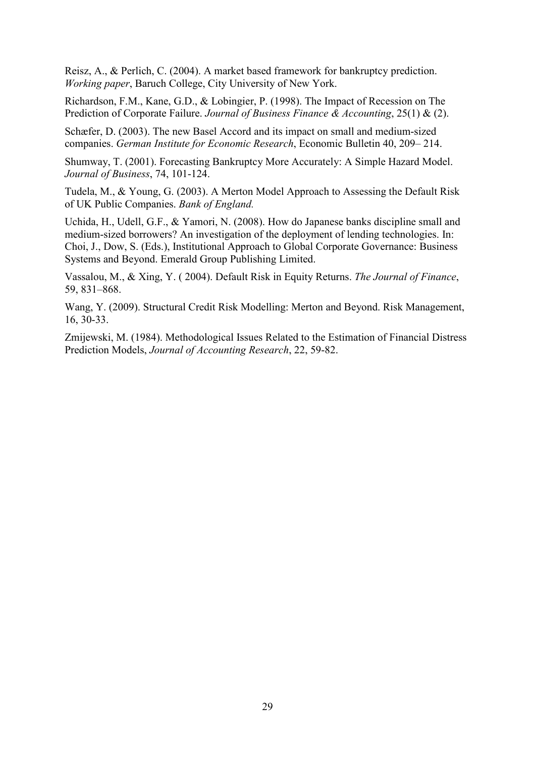Reisz, A., & Perlich, C. (2004). A market based framework for bankruptcy prediction. *Working paper*, Baruch College, City University of New York.

Richardson, F.M., Kane, G.D., & Lobingier, P. (1998). The Impact of Recession on The Prediction of Corporate Failure. *Journal of Business Finance & Accounting*, 25(1) & (2).

Schæfer, D. (2003). The new Basel Accord and its impact on small and medium-sized companies. *German Institute for Economic Research*, Economic Bulletin 40, 209– 214.

Shumway, T. (2001). Forecasting Bankruptcy More Accurately: A Simple Hazard Model. *Journal of Business*, 74, 101-124.

Tudela, M., & Young, G. (2003). A Merton Model Approach to Assessing the Default Risk of UK Public Companies. *Bank of England.*

Uchida, H., Udell, G.F., & Yamori, N. (2008). How do Japanese banks discipline small and medium-sized borrowers? An investigation of the deployment of lending technologies. In: Choi, J., Dow, S. (Eds.), Institutional Approach to Global Corporate Governance: Business Systems and Beyond. Emerald Group Publishing Limited.

Vassalou, M., & Xing, Y. ( 2004). Default Risk in Equity Returns. *The Journal of Finance*, 59, 831–868.

Wang, Y. (2009). Structural Credit Risk Modelling: Merton and Beyond. Risk Management, 16, 30-33.

Zmijewski, M. (1984). Methodological Issues Related to the Estimation of Financial Distress Prediction Models, *Journal of Accounting Research*, 22, 59-82.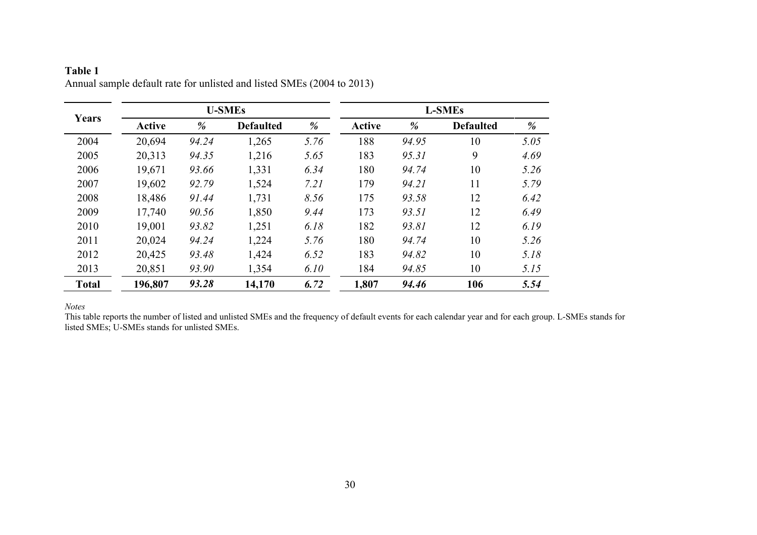| Years        |         |       | <b>U-SMEs</b>    |      |               |       | <b>L-SMEs</b>    |      |
|--------------|---------|-------|------------------|------|---------------|-------|------------------|------|
|              | Active  | %     | <b>Defaulted</b> | %    | <b>Active</b> | %     | <b>Defaulted</b> | %    |
| 2004         | 20,694  | 94.24 | 1,265            | 5.76 | 188           | 94.95 | 10               | 5.05 |
| 2005         | 20,313  | 94.35 | 1,216            | 5.65 | 183           | 95.31 | 9                | 4.69 |
| 2006         | 19,671  | 93.66 | 1,331            | 6.34 | 180           | 94.74 | 10               | 5.26 |
| 2007         | 19,602  | 92.79 | 1,524            | 7.21 | 179           | 94.21 | 11               | 5.79 |
| 2008         | 18,486  | 91.44 | 1,731            | 8.56 | 175           | 93.58 | 12               | 6.42 |
| 2009         | 17,740  | 90.56 | 1,850            | 9.44 | 173           | 93.51 | 12               | 6.49 |
| 2010         | 19,001  | 93.82 | 1,251            | 6.18 | 182           | 93.81 | 12               | 6.19 |
| 2011         | 20,024  | 94.24 | 1,224            | 5.76 | 180           | 94.74 | 10               | 5.26 |
| 2012         | 20,425  | 93.48 | 1,424            | 6.52 | 183           | 94.82 | 10               | 5.18 |
| 2013         | 20,851  | 93.90 | 1,354            | 6.10 | 184           | 94.85 | 10               | 5.15 |
| <b>Total</b> | 196,807 | 93.28 | 14,170           | 6.72 | 1,807         | 94.46 | 106              | 5.54 |

**Table 1** Annual sample default rate for unlisted and listed SMEs (2004 to 2013)

*Notes*

This table reports the number of listed and unlisted SMEs and the frequency of default events for each calendar year and for each group. L-SMEs stands for listed SMEs; U-SMEs stands for unlisted SMEs.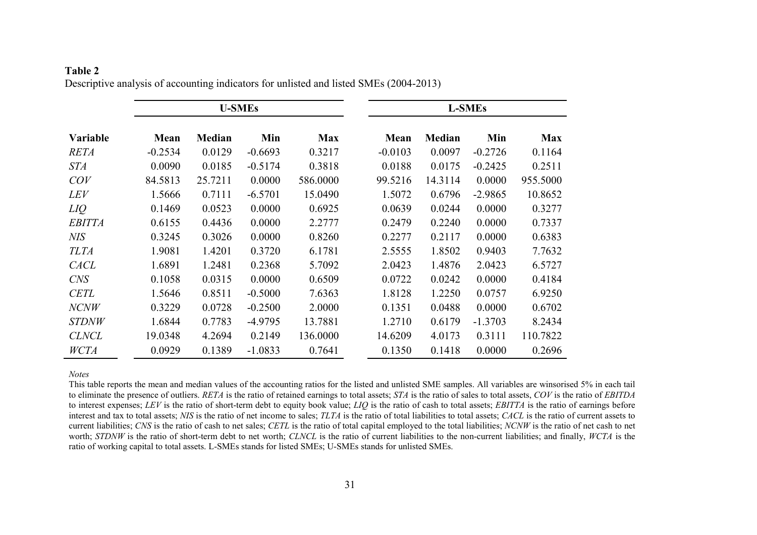## **Table 2** Descriptive analysis of accounting indicators for unlisted and listed SMEs (2004-2013)

|                 |           |               | <b>U-SMEs</b> |            |           |               | <b>L-SMEs</b> |            |
|-----------------|-----------|---------------|---------------|------------|-----------|---------------|---------------|------------|
| <b>Variable</b> | Mean      | <b>Median</b> | Min           | <b>Max</b> | Mean      | <b>Median</b> | Min           | <b>Max</b> |
| <b>RETA</b>     | $-0.2534$ | 0.0129        | $-0.6693$     | 0.3217     | $-0.0103$ | 0.0097        | $-0.2726$     | 0.1164     |
| <i>STA</i>      | 0.0090    | 0.0185        | $-0.5174$     | 0.3818     | 0.0188    | 0.0175        | $-0.2425$     | 0.2511     |
| COV             | 84.5813   | 25.7211       | 0.0000        | 586.0000   | 99.5216   | 14.3114       | 0.0000        | 955.5000   |
| <b>LEV</b>      | 1.5666    | 0.7111        | $-6.5701$     | 15.0490    | 1.5072    | 0.6796        | $-2.9865$     | 10.8652    |
| LIQ             | 0.1469    | 0.0523        | 0.0000        | 0.6925     | 0.0639    | 0.0244        | 0.0000        | 0.3277     |
| <b>EBITTA</b>   | 0.6155    | 0.4436        | 0.0000        | 2.2777     | 0.2479    | 0.2240        | 0.0000        | 0.7337     |
| <b>NIS</b>      | 0.3245    | 0.3026        | 0.0000        | 0.8260     | 0.2277    | 0.2117        | 0.0000        | 0.6383     |
| <b>TLTA</b>     | 1.9081    | 1.4201        | 0.3720        | 6.1781     | 2.5555    | 1.8502        | 0.9403        | 7.7632     |
| <b>CACL</b>     | 1.6891    | 1.2481        | 0.2368        | 5.7092     | 2.0423    | 1.4876        | 2.0423        | 6.5727     |
| <b>CNS</b>      | 0.1058    | 0.0315        | 0.0000        | 0.6509     | 0.0722    | 0.0242        | 0.0000        | 0.4184     |
| <b>CETL</b>     | 1.5646    | 0.8511        | $-0.5000$     | 7.6363     | 1.8128    | 1.2250        | 0.0757        | 6.9250     |
| <b>NCNW</b>     | 0.3229    | 0.0728        | $-0.2500$     | 2.0000     | 0.1351    | 0.0488        | 0.0000        | 0.6702     |
| <b>STDNW</b>    | 1.6844    | 0.7783        | $-4.9795$     | 13.7881    | 1.2710    | 0.6179        | $-1.3703$     | 8.2434     |
| <b>CLNCL</b>    | 19.0348   | 4.2694        | 0.2149        | 136.0000   | 14.6209   | 4.0173        | 0.3111        | 110.7822   |
| WCTA            | 0.0929    | 0.1389        | $-1.0833$     | 0.7641     | 0.1350    | 0.1418        | 0.0000        | 0.2696     |

*Notes*

This table reports the mean and median values of the accounting ratios for the listed and unlisted SME samples. All variables are winsorised 5% in each tail to eliminate the presence of outliers. *RETA* is the ratio of retained earnings to total assets; *STA* is the ratio of sales to total assets, *COV* is the ratio of *EBITDA* to interest expenses; *LEV* is the ratio of short-term debt to equity book value; *LIQ* is the ratio of cash to total assets; *EBITTA* is the ratio of earnings before interest and tax to total assets; *NIS* is the ratio of net income to sales; *TLTA* is the ratio of total liabilities to total assets; *CACL* is the ratio of current assets to current liabilities; *CNS* is the ratio of cash to net sales; *CETL* is the ratio of total capital employed to the total liabilities; *NCNW* is the ratio of net cash to net worth; *STDNW* is the ratio of short-term debt to net worth; *CLNCL* is the ratio of current liabilities to the non-current liabilities; and finally, *WCTA* is the ratio of working capital to total assets. L-SMEs stands for listed SMEs; U-SMEs stands for unlisted SMEs.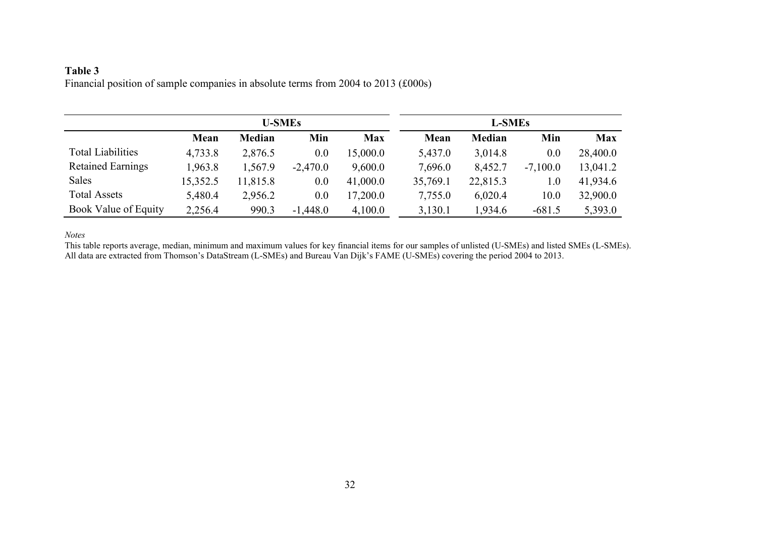# **Table 3** Financial position of sample companies in absolute terms from 2004 to 2013 (£000s)

|                          | <b>U-SMEs</b> |          |            |            | <b>L-SMEs</b> |          |            |            |
|--------------------------|---------------|----------|------------|------------|---------------|----------|------------|------------|
|                          | Mean          | Median   | Min        | <b>Max</b> | Mean          | Median   | Min        | <b>Max</b> |
| <b>Total Liabilities</b> | 4,733.8       | 2,876.5  | 0.0        | 15,000.0   | 5,437.0       | 3,014.8  | 0.0        | 28,400.0   |
| <b>Retained Earnings</b> | 1,963.8       | 1,567.9  | $-2,470.0$ | 9,600.0    | 7,696.0       | 8,452.7  | $-7,100.0$ | 13,041.2   |
| <b>Sales</b>             | 15,352.5      | 11,815.8 | 0.0        | 41,000.0   | 35,769.1      | 22,815.3 | 1.0        | 41,934.6   |
| <b>Total Assets</b>      | 5,480.4       | 2,956.2  | 0.0        | 17,200.0   | 7,755.0       | 6,020.4  | 10.0       | 32,900.0   |
| Book Value of Equity     | 2,256.4       | 990.3    | $-1,448.0$ | 4,100.0    | 3,130.1       | 1,934.6  | $-681.5$   | 5,393.0    |

*Notes*

This table reports average, median, minimum and maximum values for key financial items for our samples of unlisted (U-SMEs) and listed SMEs (L-SMEs). All data are extracted from Thomson's DataStream (L-SMEs) and Bureau Van Dijk's FAME (U-SMEs) covering the period 2004 to 2013.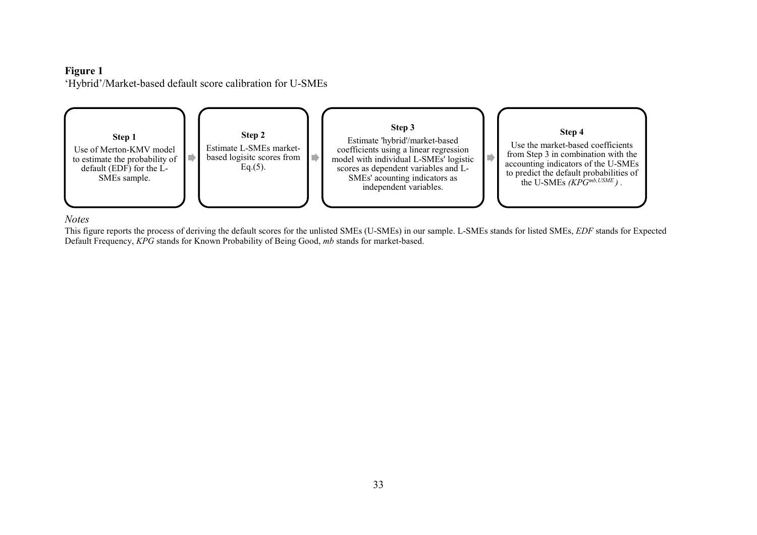### **Figure 1**

'Hybrid'/Market-based default score calibration for U-SMEs



## *Notes*

This figure reports the process of deriving the default scores for the unlisted SMEs (U-SMEs) in our sample. L-SMEs stands for listed SMEs, *EDF* stands for Expected Default Frequency, *KPG* stands for Known Probability of Being Good, *mb* stands for market-based.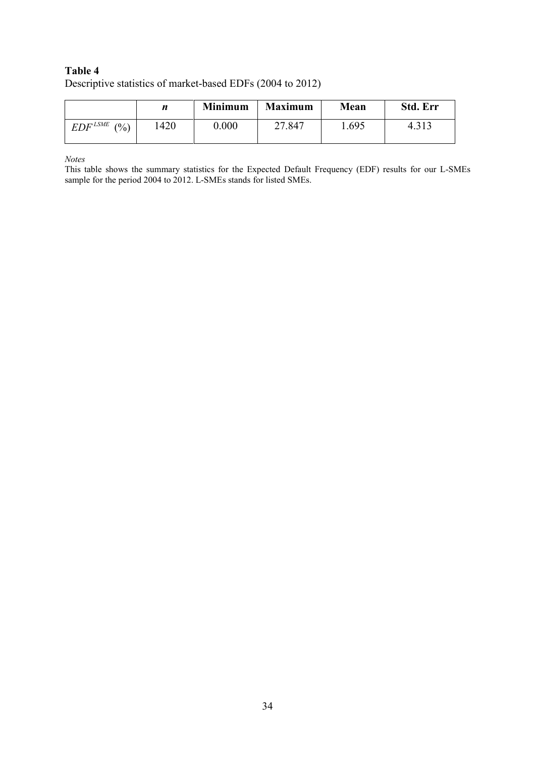# **Table 4** Descriptive statistics of market-based EDFs (2004 to 2012)

|                  |     | <b>Minimum</b> | <b>Maximum</b> | Mean  | <b>Std. Err</b> |
|------------------|-----|----------------|----------------|-------|-----------------|
| $EDF^{LSME}$ (%) | 420 | 0.000          | 27.847         | 1.695 | 4.313           |

*Notes*

This table shows the summary statistics for the Expected Default Frequency (EDF) results for our L-SMEs sample for the period 2004 to 2012. L-SMEs stands for listed SMEs.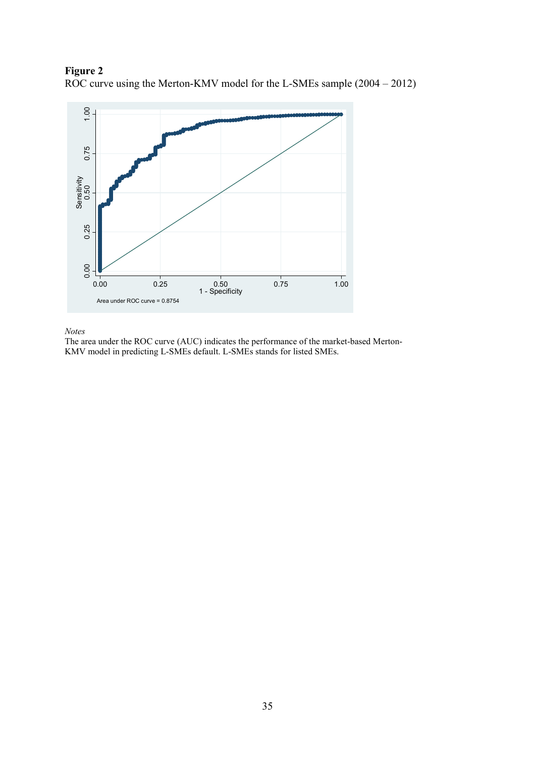



*Notes*

The area under the ROC curve (AUC) indicates the performance of the market-based Merton-KMV model in predicting L-SMEs default. L-SMEs stands for listed SMEs.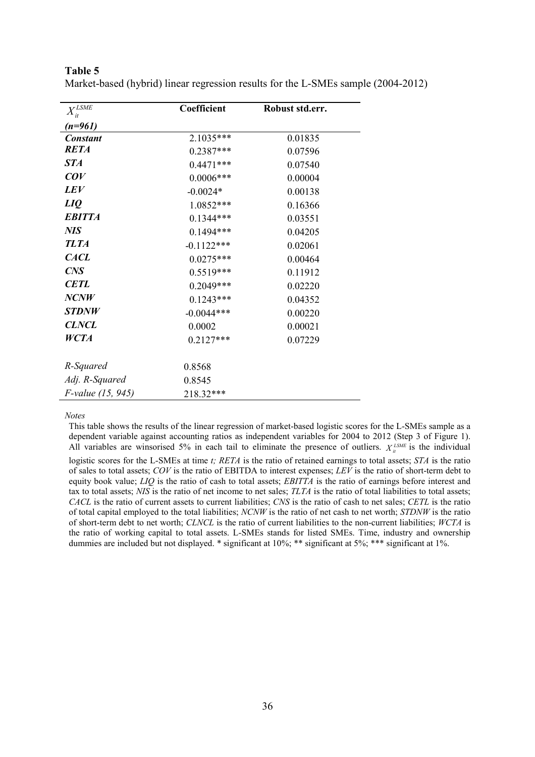| $X_{it}^{LSME}$          | Coefficient  | Robust std.err. |
|--------------------------|--------------|-----------------|
| (n=961)                  |              |                 |
| <b>Constant</b>          | 2.1035***    | 0.01835         |
| <b>RETA</b>              | $0.2387***$  | 0.07596         |
| <b>STA</b>               | $0.4471***$  | 0.07540         |
| COV                      | $0.0006***$  | 0.00004         |
| <b>LEV</b>               | $-0.0024*$   | 0.00138         |
| LIQ                      | $1.0852***$  | 0.16366         |
| <b>EBITTA</b>            | $0.1344***$  | 0.03551         |
| <b>NIS</b>               | $0.1494***$  | 0.04205         |
| <b>TLTA</b>              | $-0.1122***$ | 0.02061         |
| <b>CACL</b>              | $0.0275***$  | 0.00464         |
| CNS                      | $0.5519***$  | 0.11912         |
| <b>CETL</b>              | $0.2049***$  | 0.02220         |
| NCNW                     | $0.1243***$  | 0.04352         |
| <b>STDNW</b>             | $-0.0044***$ | 0.00220         |
| <b>CLNCL</b>             | 0.0002       | 0.00021         |
| <b>WCTA</b>              | $0.2127***$  | 0.07229         |
|                          |              |                 |
| R-Squared                | 0.8568       |                 |
| Adj. R-Squared           | 0.8545       |                 |
| <i>F-value (15, 945)</i> | 218.32***    |                 |

**Table 5** Market-based (hybrid) linear regression results for the L-SMEs sample (2004-2012)

#### *Notes*

This table shows the results of the linear regression of market-based logistic scores for the L-SMEs sample as a dependent variable against accounting ratios as independent variables for 2004 to 2012 (Step 3 of Figure 1). All variables are winsorised 5% in each tail to eliminate the presence of outliers.  $X_i^{LSME}$  is the individual

logistic scores for the L-SMEs at time *t; RETA* is the ratio of retained earnings to total assets; *STA* is the ratio of sales to total assets; *COV* is the ratio of EBITDA to interest expenses; *LEV* is the ratio of short-term debt to equity book value; *LIQ* is the ratio of cash to total assets; *EBITTA* is the ratio of earnings before interest and tax to total assets; *NIS* is the ratio of net income to net sales; *TLTA* is the ratio of total liabilities to total assets; *CACL* is the ratio of current assets to current liabilities; *CNS* is the ratio of cash to net sales; *CETL* is the ratio of total capital employed to the total liabilities; *NCNW* is the ratio of net cash to net worth; *STDNW* is the ratio of short-term debt to net worth; *CLNCL* is the ratio of current liabilities to the non-current liabilities; *WCTA* is the ratio of working capital to total assets. L-SMEs stands for listed SMEs. Time, industry and ownership dummies are included but not displayed. \* significant at 10%; \*\* significant at 5%; \*\*\* significant at 1%.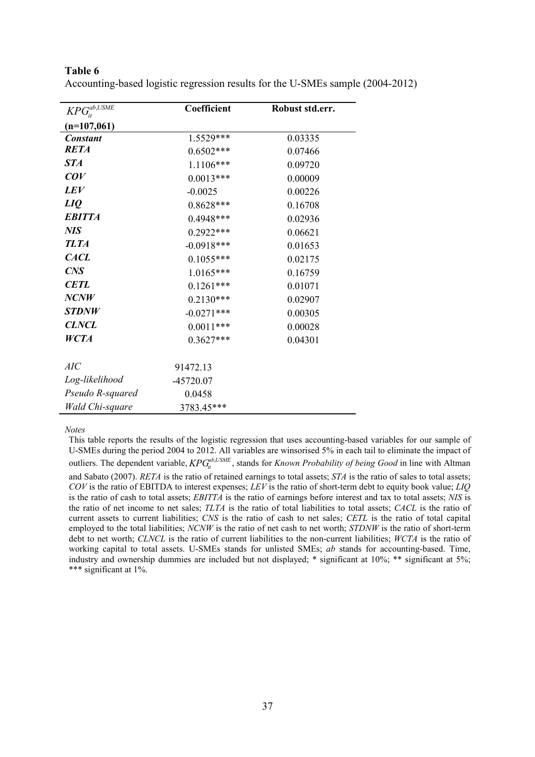| $KPG_{\scriptscriptstyle i\prime}^{ab,USME}$ | Coefficient   | Robust std.err. |
|----------------------------------------------|---------------|-----------------|
| $(n=107,061)$                                |               |                 |
| <b>Constant</b>                              | 1.5529***     | 0.03335         |
| <b>RETA</b>                                  | $0.6502***$   | 0.07466         |
| <b>STA</b>                                   | 1.1106***     | 0.09720         |
| COV                                          | $0.0013***$   | 0.00009         |
| <b>LEV</b>                                   | $-0.0025$     | 0.00226         |
| LIQ                                          | $0.8628***$   | 0.16708         |
| <b>EBITTA</b>                                | $0.4948***$   | 0.02936         |
| <b>NIS</b>                                   | $0.2922***$   | 0.06621         |
| <b>TLTA</b>                                  | $-0.0918***$  | 0.01653         |
| <b>CACL</b>                                  | $0.1055***$   | 0.02175         |
| CNS                                          | 1.0165***     | 0.16759         |
| <b>CETL</b>                                  | $0.1261***$   | 0.01071         |
| NCNW                                         | $0.2130***$   | 0.02907         |
| <b>STDNW</b>                                 | $-0.0271$ *** | 0.00305         |
| <b>CLNCL</b>                                 | $0.0011***$   | 0.00028         |
| <b>WCTA</b>                                  | $0.3627***$   | 0.04301         |
|                                              |               |                 |
| AIC                                          | 91472.13      |                 |
| Log-likelihood                               | -45720.07     |                 |
| Pseudo R-squared                             | 0.0458        |                 |
| Wald Chi-square                              | 3783.45***    |                 |

**Table 6** Accounting-based logistic regression results for the U-SMEs sample (2004-2012)

*Notes*

This table reports the results of the logistic regression that uses accounting-based variables for our sample of U-SMEs during the period 2004 to 2012. All variables are winsorised 5% in each tail to eliminate the impact of outliers. The dependent variable,  $KPG^{ab,USME}_{it}$ , stands for *Known Probability of being Good* in line with Altman and Sabato (2007). *RETA* is the ratio of retained earnings to total assets; *STA* is the ratio of sales to total assets; *COV* is the ratio of EBITDA to interest expenses; *LEV* is the ratio of short-term debt to equity book value; *LIQ* is the ratio of cash to total assets; *EBITTA* is the ratio of earnings before interest and tax to total assets; *NIS* is the ratio of net income to net sales; *TLTA* is the ratio of total liabilities to total assets; *CACL* is the ratio of current assets to current liabilities; *CNS* is the ratio of cash to net sales; *CETL* is the ratio of total capital employed to the total liabilities; *NCNW* is the ratio of net cash to net worth; *STDNW* is the ratio of short-term debt to net worth; *CLNCL* is the ratio of current liabilities to the non-current liabilities; *WCTA* is the ratio of working capital to total assets. U-SMEs stands for unlisted SMEs; *ab* stands for accounting-based. Time, industry and ownership dummies are included but not displayed; \* significant at 10%; \*\* significant at 5%; \*\*\* significant at 1%.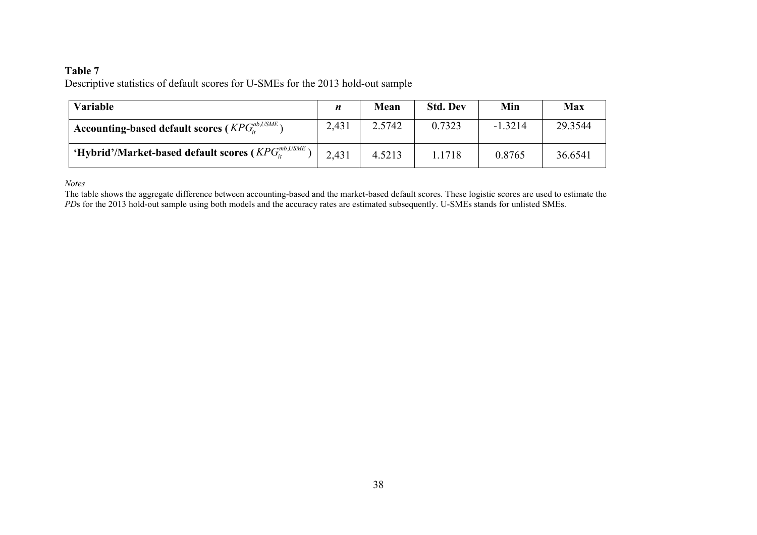## **Table 7**

Descriptive statistics of default scores for U-SMEs for the 2013 hold-out sample

| <b>Variable</b>                                               | n     | <b>Mean</b> | <b>Std. Dev</b> | Min       | Max     |
|---------------------------------------------------------------|-------|-------------|-----------------|-----------|---------|
| <sup>1</sup> Accounting-based default scores ( $KPG1, LSME$ ) | 2,431 | 2.5742      | 0.7323          | $-1.3214$ | 29.3544 |
| ' 'Hybrid'/Market-based default scores ( $KPG_n^{mb,USME}$ )  | 2,431 | 4.5213      | 1.1718          | 0.8765    | 36.6541 |

*Notes*

The table shows the aggregate difference between accounting-based and the market-based default scores. These logistic scores are used to estimate the *PDs* for the 2013 hold-out sample using both models and the accuracy rates are estimated subsequently. U-SMEs stands for unlisted SMEs.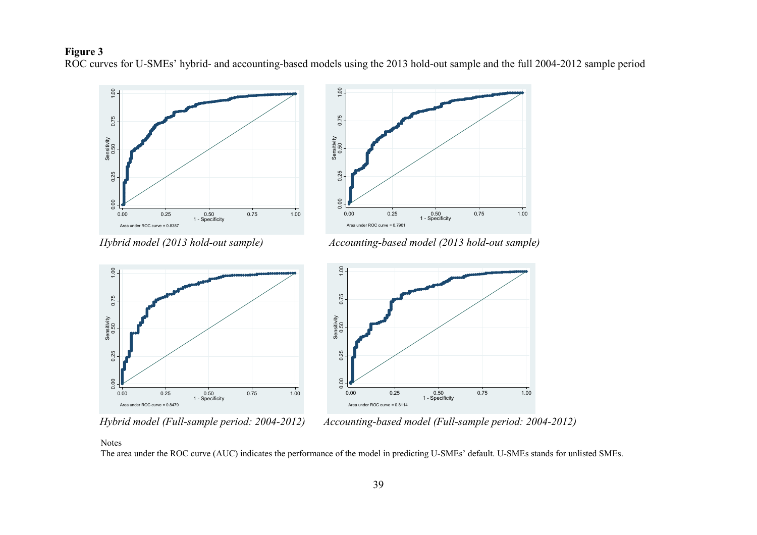## **Figure 3**

ROC curves for U-SMEs' hybrid- and accounting-based models using the 2013 hold-out sample and the full 2004-2012 sample period





*Hybrid model (2013 hold-out sample) Accounting-based model (2013 hold-out sample)*





*Hybrid model (Full-sample period: 2004-2012) Accounting-based model (Full-sample period: 2004-2012)*

#### Notes

The area under the ROC curve (AUC) indicates the performance of the model in predicting U-SMEs' default. U-SMEs stands for unlisted SMEs.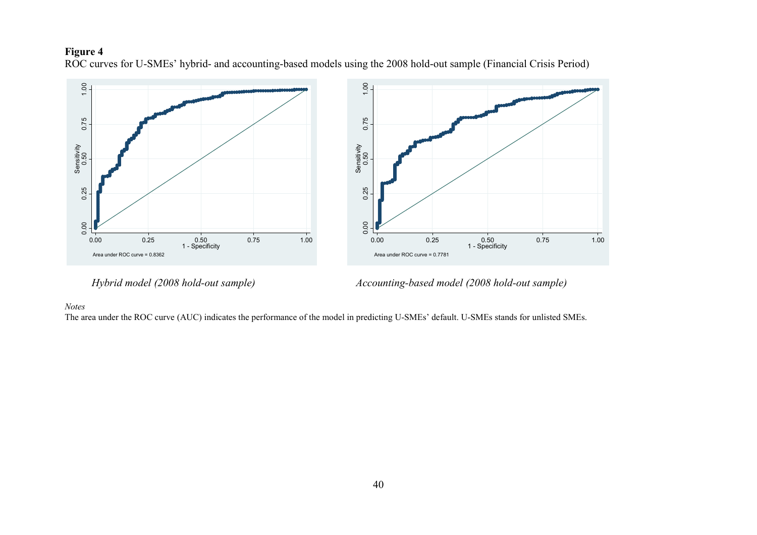# **Figure 4**

ROC curves for U-SMEs' hybrid- and accounting-based models using the 2008 hold-out sample (Financial Crisis Period)



*Hybrid model (2008 hold-out sample) Accounting-based model (2008 hold-out sample)*

#### *Notes*

The area under the ROC curve (AUC) indicates the performance of the model in predicting U-SMEs' default. U-SMEs stands for unlisted SMEs.